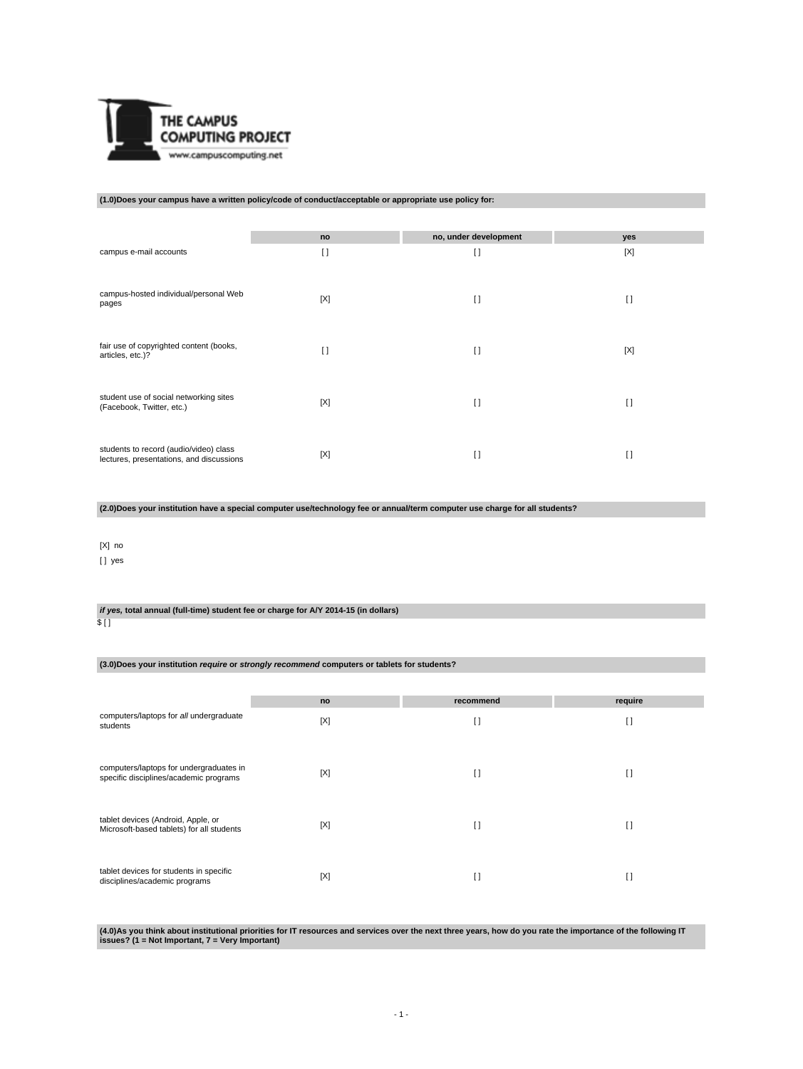

### **(1.0)Does your campus have a written policy/code of conduct/acceptable or appropriate use policy for:**

|                                                                                    | no     | no, under development | yes    |
|------------------------------------------------------------------------------------|--------|-----------------------|--------|
| campus e-mail accounts                                                             | $\Box$ | $\mathbf{I}$          | [X]    |
| campus-hosted individual/personal Web<br>pages                                     | [X]    | $\mathbf{I}$          | $\Box$ |
| fair use of copyrighted content (books,<br>articles, etc.)?                        | $\Box$ | H                     | [X]    |
| student use of social networking sites<br>(Facebook, Twitter, etc.)                | [X]    | $\Box$                | $\Box$ |
| students to record (audio/video) class<br>lectures, presentations, and discussions | [X]    | $\Box$                | I1     |

**(2.0)Does your institution have a special computer use/technology fee or annual/term computer use charge for all students?**

#### [X] no

[] yes

**if yes, total annual (full-time) student fee or charge for A/Y 2014-15 (in dollars)**

#### \$ [ ]

**(3.0)Does your institution require or strongly recommend computers or tablets for students?**

|                                                                                   | no  | recommend    | require |
|-----------------------------------------------------------------------------------|-----|--------------|---------|
| computers/laptops for all undergraduate<br>students                               | [X] | H            | I)      |
| computers/laptops for undergraduates in<br>specific disciplines/academic programs | [X] | $\Box$       | I)      |
| tablet devices (Android, Apple, or<br>Microsoft-based tablets) for all students   | [X] | $\Box$       | I)      |
| tablet devices for students in specific<br>disciplines/academic programs          | [X] | $\mathbf{I}$ | I)      |

**(4.0)As you think about institutional priorities for IT resources and services over the next three years, how do you rate the importance of the following IT issues? (1 = Not Important, 7 = Very Important)**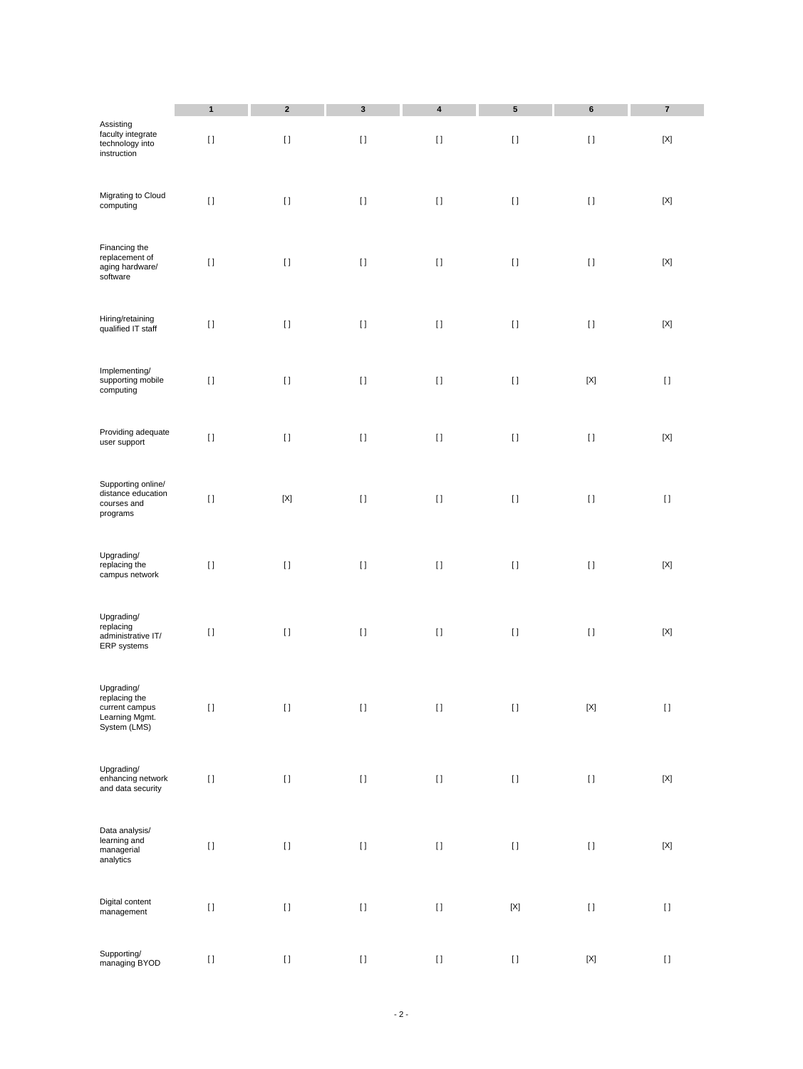| Assisting<br>faculty integrate                                                  | 1<br>$[ \ ]$ | $\mathbf 2$<br>$[ \ ]$                 | $\mathbf 3$<br>$[ \ ]$                 | 4<br>$[ \ ]$                           | 5<br>$[ \ ]$                                                                                                                                                                                          | $\bf 6$<br>$[ \; ]$ | $\bf 7$<br>$[{\sf X}]$                 |
|---------------------------------------------------------------------------------|--------------|----------------------------------------|----------------------------------------|----------------------------------------|-------------------------------------------------------------------------------------------------------------------------------------------------------------------------------------------------------|---------------------|----------------------------------------|
| technology into<br>instruction                                                  |              |                                        |                                        |                                        |                                                                                                                                                                                                       |                     |                                        |
| Migrating to Cloud<br>computing                                                 | $[ \, ]$     | $[ \; ]$                               | $[ \ ]$                                | $[ \; ]$                               | $[ \ ]$                                                                                                                                                                                               | $[ \; ]$            | $[{\sf X}]$                            |
| Financing the<br>replacement of<br>aging hardware/<br>software                  | $[ \ ]$      | $[ \ ]$                                | $[ \; ]$                               | $[ \; ]$                               | $[ \ ]$                                                                                                                                                                                               | $[ \ ]$             | $[{\sf X}]$                            |
| Hiring/retaining<br>qualified IT staff                                          | $[ \, ]$     | $[ \; ]$                               | $[ \ ]$                                | $[ \; ]$                               | $[ \ ]$                                                                                                                                                                                               | $[ \; ]$            | $[{\sf X}]$                            |
| Implementing/<br>supporting mobile<br>computing                                 | $[ \ ]$      | $[ \; ]$                               | $[ \ ]$                                | $[ \ ]$                                | $[ \ ]$                                                                                                                                                                                               | $[{\sf X}]$         | $\lceil$                               |
| Providing adequate<br>user support                                              | $[ \, ]$     | $[ \; ]$                               | $[ \ ]$                                | $[ \; ]$                               | $[ \ ]$                                                                                                                                                                                               | $[ \ ]$             | $[{\sf X}]$                            |
| Supporting online/<br>distance education<br>courses and<br>programs             | $[ \; ]$     | $[{\sf X}]$                            | $[ \; ]$                               | $[ \; ]$                               | $[ \ ]$                                                                                                                                                                                               | $[ \; ]$            | $[ \; ]$                               |
| Upgrading/<br>replacing the<br>campus network                                   | $[ \; ]$     | $[ \; ]$                               | $[ \; ]$                               | $[ \; ]$                               | $[ \; ]$                                                                                                                                                                                              | $[ \; ]$            | $[{\sf X}]$                            |
| Upgrading/<br>replacing<br>administrative IT/<br>ERP systems                    | $[ \ ]$      | $\begin{array}{c} \square \end{array}$ | $[ \ ]$                                | $[ \; ]$                               | $[ \ ]$                                                                                                                                                                                               | $[ \ ]$             | $[{\sf X}]$                            |
| Upgrading/<br>replacing the<br>current campus<br>Learning Mgmt.<br>System (LMS) | IJ           | $\begin{array}{c} \square \end{array}$ | $\begin{array}{c} \square \end{array}$ | H                                      | IJ                                                                                                                                                                                                    | [X]                 | $\begin{array}{c} \square \end{array}$ |
| Upgrading/<br>enhancing network<br>and data security                            | $[ \, ]$     | $[ \ ]$                                | $[ \; ]$                               | $\begin{array}{c} \square \end{array}$ | $[ \; ]$                                                                                                                                                                                              | $\left[ \ \right]$  | $[{\sf X}]$                            |
| Data analysis/<br>learning and<br>$m$ anagerial<br>analytics                    | $[ \, ]$     | $[ \ ]$                                | $[ \ ]$                                | $[ \; ]$                               | $[ \; ]$                                                                                                                                                                                              | $[ \; ]$            | $[{\sf X}]$                            |
| Digital content<br>management                                                   | $[ \, ]$     | $[ \ ]$                                | $[ \ ]$                                | $\mathop{\rm I}\nolimits$              | $\left[ \text{X} \right]$                                                                                                                                                                             | $[ \; ]$            | $[ \; ]$                               |
| Supporting/<br>managing BYOD                                                    | $[ \: ]$     | $[ \ ]$                                | $[ \: ]$                               | $[ \, ]$                               | $[] \centering \includegraphics[width=0.47\textwidth]{images/TrDiS-Architecture.png} \caption{The 3D (top) and 4D (bottom) are used for the 3D (bottom) and 3D (bottom).} \label{TrDiS-Architecture}$ | $[{\sf X}]$         | $[ \ ]$                                |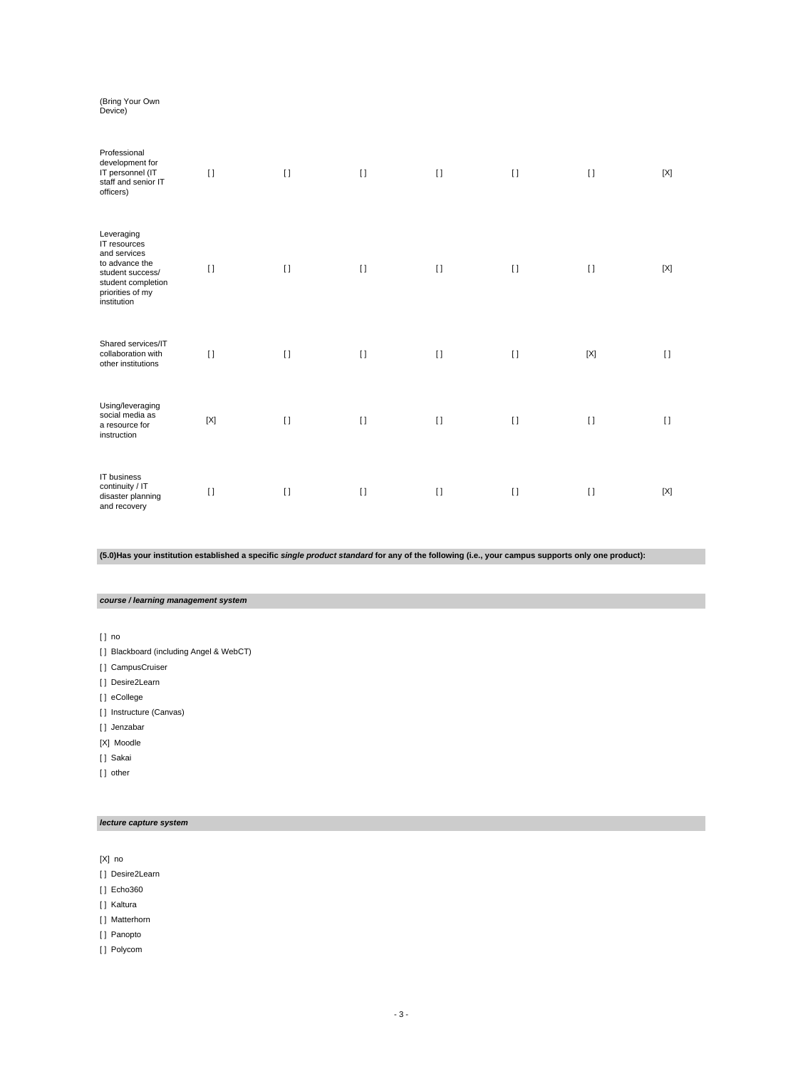# (Bring Your Own Device)

| Professional<br>development for<br>IT personnel (IT<br>staff and senior IT<br>officers)                                                   | $[ \ ]$     | $[ \ ]$  | $\lceil$ | $[ \ ]$ | $[ \ ]$      | $\lceil$    | [X]    |
|-------------------------------------------------------------------------------------------------------------------------------------------|-------------|----------|----------|---------|--------------|-------------|--------|
| Leveraging<br>IT resources<br>and services<br>to advance the<br>student success/<br>student completion<br>priorities of my<br>institution | $\Box$      | $\Box$   | $\lceil$ | $[ \ ]$ | $[ \ ]$      | $\Box$      | [X]    |
| Shared services/IT<br>collaboration with<br>other institutions                                                                            | $\Box$      | $\Box$   | $\lceil$ | $[ \ ]$ | $\Box$       | $[{\sf X}]$ | $\Box$ |
| Using/leveraging<br>social media as<br>a resource for<br>instruction                                                                      | $[{\sf X}]$ | $\lceil$ | $\lceil$ | $[ \ ]$ | $\mathbf{I}$ | $\lceil$    | $\Box$ |
| IT business<br>continuity / IT<br>disaster planning<br>and recovery                                                                       | $[ \ ]$     | $\lceil$ | $\lceil$ | $\Box$  | $\Box$       | $\Box$      | [X]    |

# **(5.0)Has your institution established a specific single product standard for any of the following (i.e., your campus supports only one product):**

# **course / learning management system**

[ ] no

- [ ] Blackboard (including Angel & WebCT)
- [ ] CampusCruiser
- [ ] Desire2Learn
- [ ] eCollege
- [ ] Instructure (Canvas)
- [ ] Jenzabar
- [X] Moodle
- [ ] Sakai
- [] other

### **lecture capture system**

[X] no

- [ ] Desire2Learn
- [ ] Echo360
- [ ] Kaltura
- [ ] Matterhorn
- [ ] Panopto
- [ ] Polycom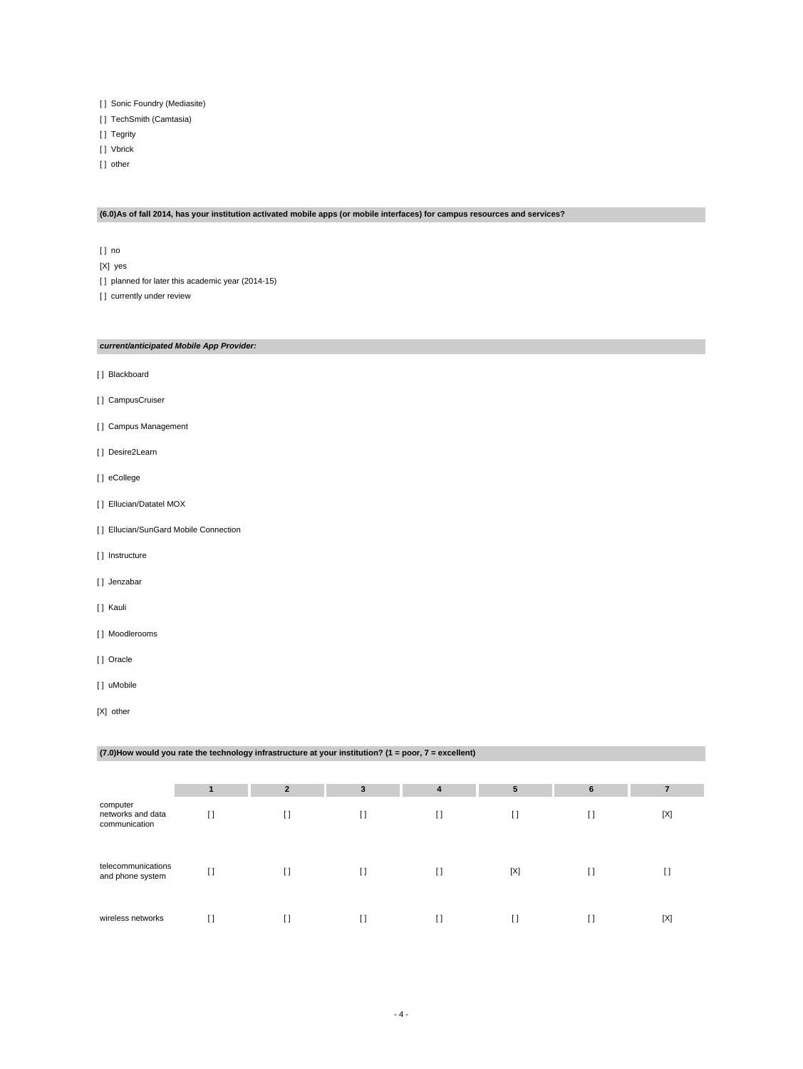- [ ] Sonic Foundry (Mediasite)
- [ ] TechSmith (Camtasia)
- [ ] Tegrity
- [ ] Vbrick
- [] other

#### **(6.0)As of fall 2014, has your institution activated mobile apps (or mobile interfaces) for campus resources and services?**

- [ ] no
- [X] yes
- [] planned for later this academic year (2014-15)
- [] currently under review

#### **current/anticipated Mobile App Provider:**

- [ ] Blackboard
- [ ] CampusCruiser
- [ ] Campus Management
- [ ] Desire2Learn
- [] eCollege
- [ ] Ellucian/Datatel MOX
- [] Ellucian/SunGard Mobile Connection
- [ ] Instructure
- [] Jenzabar
- [ ] Kauli
- [ ] Moodlerooms
- [ ] Oracle
- [ ] uMobile
- [X] other

# **(7.0)How would you rate the technology infrastructure at your institution? (1 = poor, 7 = excellent) 1 2 3 4 5 6 7** computer networks and data communication  $\begin{bmatrix} 1 & 1 & 1 \end{bmatrix}$   $\begin{bmatrix} 1 & 1 & 1 \end{bmatrix}$   $\begin{bmatrix} 1 & 1 & 1 \end{bmatrix}$   $\begin{bmatrix} 1 & 1 & 1 \end{bmatrix}$ telecommunications and phone system [ ] [ ] [ ] [ ] [X] [ ] [ ] wireless networks [ ] [ ] [ ] [ ] [ ] [ ] [X]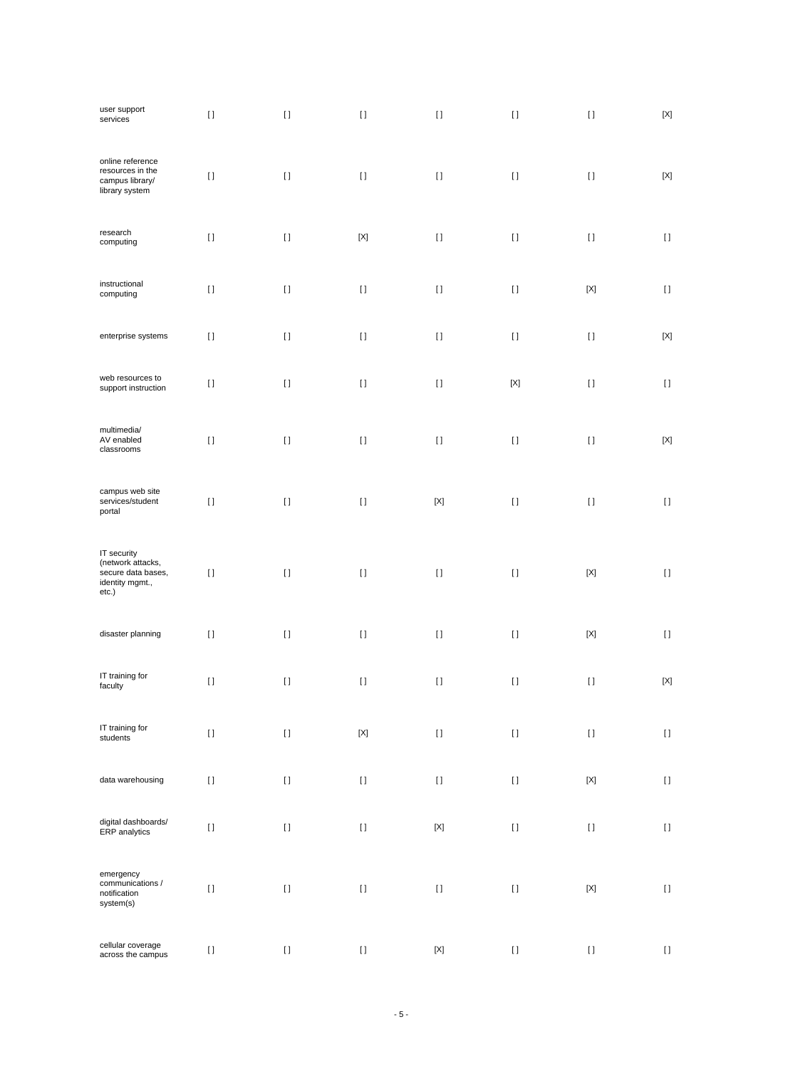| user support<br>services                                                           | $[ \ ]$  | $[ \ ]$                                | $[ \ ]$                   | $[ \ ]$                                | $[ \, ]$                           | $[ \; ]$    | $\left[ \text{X} \right]$ |
|------------------------------------------------------------------------------------|----------|----------------------------------------|---------------------------|----------------------------------------|------------------------------------|-------------|---------------------------|
| online reference<br>resources in the<br>campus library/<br>library system          | $[ \ ]$  | $[ \ ]$                                | $[ \ ]$                   | $\begin{array}{c} \square \end{array}$ | $[ \ ]$                            | $[ \ ]$     | $[{\sf X}]$               |
| research<br>computing                                                              | $[ \ ]$  | $[ \ ]$                                | $\left[ \text{X} \right]$ | $[ \; ]$                               | $[ \ ]$                            | $[ \ ]$     | $[ \ ]$                   |
| instructional<br>computing                                                         | $[ \ ]$  | $[ \; ]$                               | $[ \ ]$                   | $\begin{array}{c} \square \end{array}$ | $[ \ ]$                            | $[{\sf X}]$ | $[ \ ]$                   |
| enterprise systems                                                                 | $[ \ ]$  | $[ \; ]$                               | $[ \: ]$                  | $[ \; ]$                               | $[ \ ]$                            | $[ \ ]$     | $[{\sf X}]$               |
| web resources to<br>support instruction                                            | $[ \ ]$  | $[ \; ]$                               | $[ \ ]$                   | $\begin{array}{c} \square \end{array}$ | $[{\sf X}]$                        | $[ \ ]$     | $[ \ ]$                   |
| multimedia/<br>AV enabled<br>classrooms                                            | $[ \; ]$ | $[ \ ]$                                | $[ \ ]$                   | $[ \ ]$                                | $\begin{array}{c} \Pi \end{array}$ | $[ \ ]$     | $[{\sf X}]$               |
| campus web site<br>services/student<br>portal                                      | $[ \; ]$ | $\begin{array}{c} \square \end{array}$ | $[ \; ]$                  | $[{\sf X}]$                            | $[ \ ]$                            | $[ \ ]$     | $[ \ ]$                   |
| IT security<br>(network attacks,<br>secure data bases,<br>identity mgmt.,<br>etc.) | $[ \ ]$  | $[ \; ]$                               | $[ \ ]$                   | $[ \ ]$                                | $[ \ ]$                            | $[{\sf X}]$ | $\left[ \ \right]$        |
| disaster planning                                                                  | $[ \ ]$  | $[ \ ]$                                | $[ \; ]$                  | $\begin{array}{c} \square \end{array}$ | $\begin{array}{c} \Pi \end{array}$ | $[{\sf X}]$ | $\left[ \ \right]$        |
| IT training for<br>faculty                                                         | $[ \ ]$  | $[ \ ]$                                | $[ \: ]$                  | $\begin{array}{c} \square \end{array}$ | $[ \, ]$                           | $[ \; ]$    | $[{\sf X}]$               |
| IT training for<br>students                                                        | $[ \ ]$  | $[ \ ]$                                | $\left[ \text{X} \right]$ | $\rm II$                               | $[ \, ]$                           | $[ \; ]$    | $[ \ ]$                   |
| data warehousing                                                                   | $[ \ ]$  | $[ \ ]$                                | $[ \ ]$                   | $[ \ ]$                                | $[ \, ]$                           | $[{\sf X}]$ | $[ \; ]$                  |
| digital dashboards/<br>ERP analytics                                               | $[ \ ]$  | $[ \ ]$                                | $[ \ ]$                   | $[{\sf X}]$                            | $[ \: ]$                           | $[ \ ]$     | $[ \ ]$                   |
| emergency<br>communications /<br>notification<br>system(s)                         | $[ \ ]$  | $[ \ ]$                                | $[ \: ]$                  | $\begin{array}{c} \square \end{array}$ | $[ \; ]$                           | $[{\sf X}]$ | $[ \: ]$                  |
| cellular coverage<br>across the campus                                             | $[ \; ]$ | $[ \ ]$                                | $[ \ ]$                   | $[{\sf X}]$                            | $[ \: ]$                           | $[ \ ]$     | $[ \ ]$                   |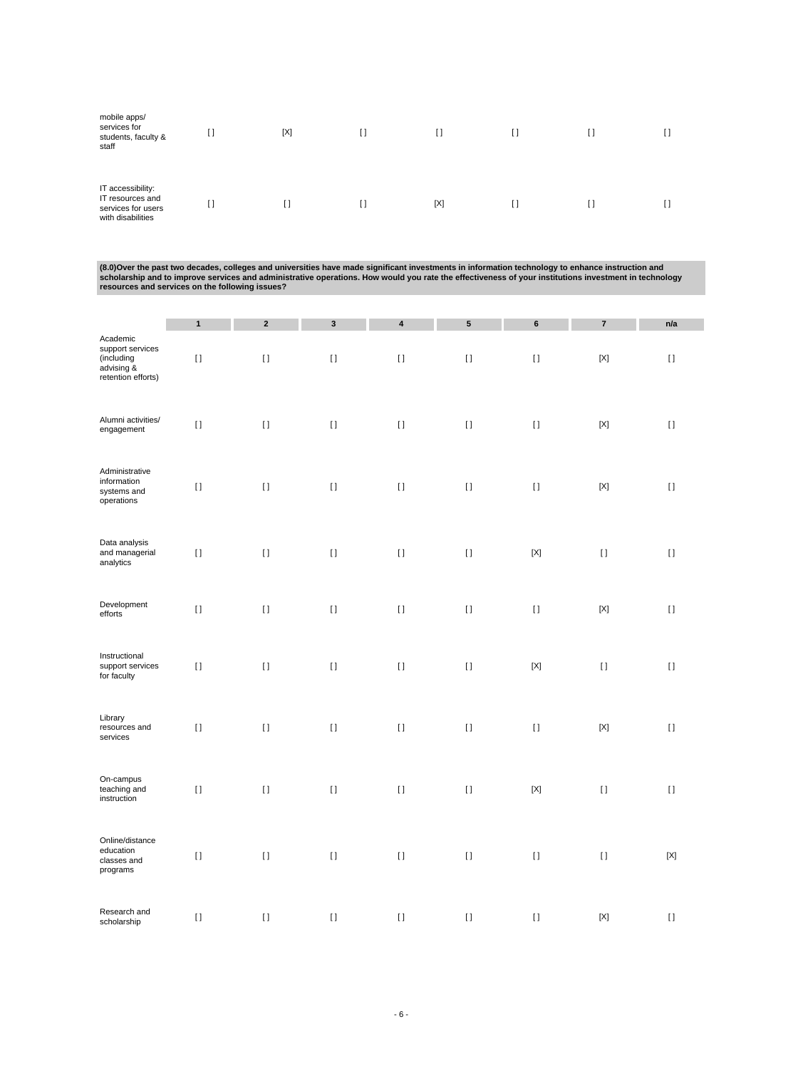| mobile apps/<br>services for<br>students, faculty &<br>staff                     | [] | [X] | []  |  |  |
|----------------------------------------------------------------------------------|----|-----|-----|--|--|
| IT accessibility:<br>IT resources and<br>services for users<br>with disabilities | [] | []  | [X] |  |  |

(8.0)Over the past two decades, colleges and universities have made significant investments in information technology to enhance instruction and<br>scholarship and to improve services and administrative operations. How would

|                                                                                | $\mathbf{1}$ | $\mathbf 2$        | $\mathbf 3$ | 4        | 5        | 6           | $\bf 7$     | n/a          |
|--------------------------------------------------------------------------------|--------------|--------------------|-------------|----------|----------|-------------|-------------|--------------|
| Academic<br>support services<br>(including<br>advising &<br>retention efforts) | $[ \ ]$      | $[ \ ]$            | $[ \; ]$    | $[ \ ]$  | $[ \; ]$ | $[ \ ]$     | $[{\sf X}]$ | $[1]$        |
| Alumni activities/<br>engagement                                               | $[ \ ]$      | $\left[ \ \right]$ | $[ \; ]$    | $[ \; ]$ | $[ \; ]$ | $[ \ ]$     | [X]         | $\mathbf{I}$ |
| Administrative<br>information<br>systems and<br>operations                     | $[ \ ]$      | $[ \; ]$           | $[ \ ]$     | $[ \ ]$  | $[ \ ]$  | $[ \ ]$     | $[{\sf X}]$ | $[ \ ]$      |
| Data analysis<br>and managerial<br>analytics                                   | $[ \ ]$      | $[ \; ]$           | $[ \ ]$     | $[ \ ]$  | $[ \ ]$  | $[{\sf X}]$ | $[ \ ]$     | $[ \ ]$      |
| Development<br>efforts                                                         | $[ \ ]$      | $[ \ ]$            | $[ \ ]$     | $[ \ ]$  | $[ \ ]$  | $[ \ ]$     | $[{\sf X}]$ | $[ \ ]$      |
| Instructional<br>support services<br>for faculty                               | $[ \ ]$      | $[ \; ]$           | $[ \ ]$     | $[ \; ]$ | $[ \; ]$ | $[{\sf X}]$ | $[ \; ]$    | $[ \; ]$     |
| Library<br>resources and<br>services                                           | $[ \ ]$      | $[ \; ]$           | $[ \; ]$    | $[ \; ]$ | $[ \; ]$ | $[ \ ]$     | $[{\sf X}]$ | $[1]$        |
| On-campus<br>teaching and<br>instruction                                       | $[ \ ]$      | $[ \ ]$            | $[ \ ]$     | $[ \ ]$  | $[ \ ]$  | $[{\sf X}]$ | $[ \ ]$     | $[ \ ]$      |
| Online/distance<br>education<br>classes and<br>programs                        | $[ \ ]$      | $\left[ \ \right]$ | $[ \; ]$    | $[ \; ]$ | $[ \; ]$ | $[ \; ]$    | $[ \; ]$    | $[{\sf X}]$  |
| Research and<br>scholarship                                                    | $[ \ ]$      | $[ \; ]$           | $[ \ ]$     | $[ \ ]$  | $[ \ ]$  | $[ \ ]$     | [X]         | $[ \ ]$      |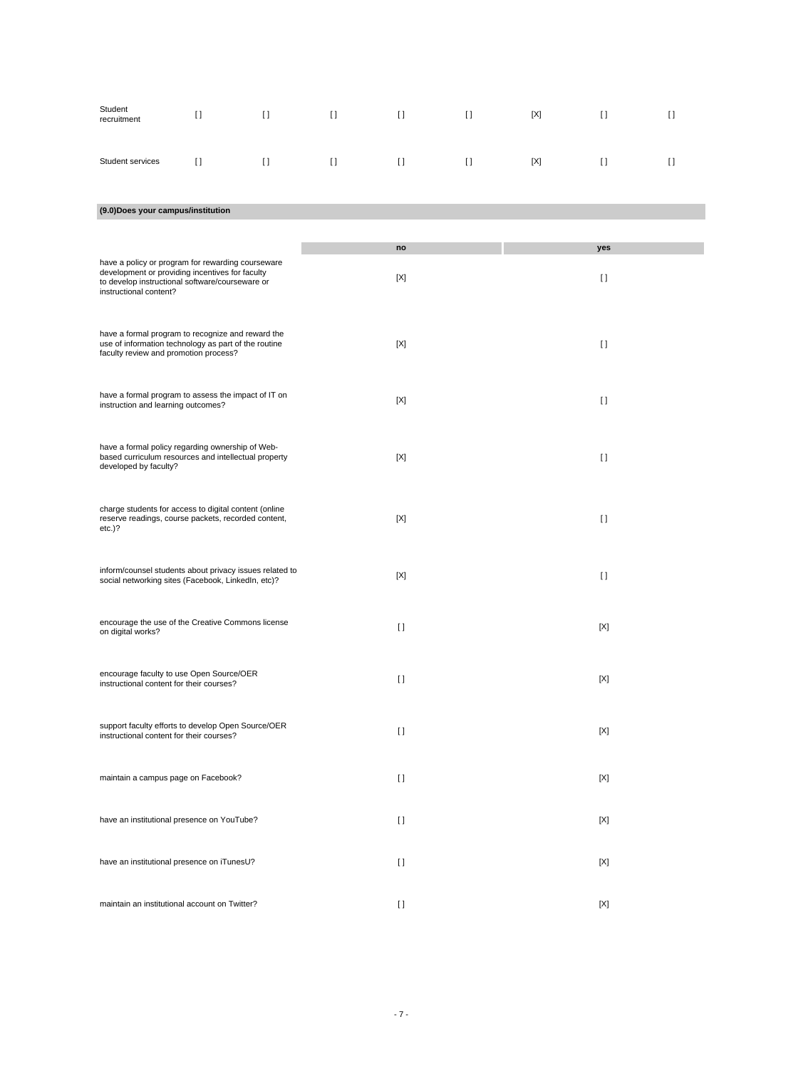| Student<br>recruitment                                                                                                                             | $[ \ ]$ | $[ \ ]$ | H       | $[ \ ]$  | $[ \ ]$                                | [X] | $[ \ ]$     | $\lceil$ |
|----------------------------------------------------------------------------------------------------------------------------------------------------|---------|---------|---------|----------|----------------------------------------|-----|-------------|----------|
| Student services                                                                                                                                   | $[ \ ]$ | $[ \ ]$ | $[ \ ]$ | $[ \ ]$  | $\begin{array}{c} \square \end{array}$ | [X] | H           | H        |
| (9.0) Does your campus/institution                                                                                                                 |         |         |         |          |                                        |     |             |          |
|                                                                                                                                                    |         |         |         |          |                                        |     |             |          |
| have a policy or program for rewarding courseware                                                                                                  |         |         |         | no       |                                        |     | yes         |          |
| development or providing incentives for faculty<br>to develop instructional software/courseware or<br>instructional content?                       |         |         |         | [X]      |                                        |     | $[ \ ]$     |          |
|                                                                                                                                                    |         |         |         |          |                                        |     |             |          |
| have a formal program to recognize and reward the<br>use of information technology as part of the routine<br>faculty review and promotion process? |         |         |         | [X]      |                                        |     | $[ \ ]$     |          |
|                                                                                                                                                    |         |         |         |          |                                        |     |             |          |
| have a formal program to assess the impact of IT on<br>instruction and learning outcomes?                                                          |         |         |         | [X]      |                                        |     | H           |          |
| have a formal policy regarding ownership of Web-<br>based curriculum resources and intellectual property                                           |         |         |         | [X]      |                                        |     | H           |          |
| developed by faculty?                                                                                                                              |         |         |         |          |                                        |     |             |          |
| charge students for access to digital content (online<br>reserve readings, course packets, recorded content,                                       |         |         |         | [X]      |                                        |     | $[ \ ]$     |          |
| etc.)?                                                                                                                                             |         |         |         |          |                                        |     |             |          |
| inform/counsel students about privacy issues related to                                                                                            |         |         |         | [X]      |                                        |     | $[ \ ]$     |          |
| social networking sites (Facebook, LinkedIn, etc)?                                                                                                 |         |         |         |          |                                        |     |             |          |
| encourage the use of the Creative Commons license<br>on digital works?                                                                             |         |         |         | $[ \ ]$  |                                        |     | [X]         |          |
|                                                                                                                                                    |         |         |         |          |                                        |     |             |          |
| encourage faculty to use Open Source/OER<br>instructional content for their courses?                                                               |         |         |         | $\lceil$ |                                        |     | $[{\sf X}]$ |          |
|                                                                                                                                                    |         |         |         |          |                                        |     |             |          |
| support faculty efforts to develop Open Source/OER<br>instructional content for their courses?                                                     |         |         |         | $\lceil$ |                                        |     | $[{\sf X}]$ |          |
| maintain a campus page on Facebook?                                                                                                                |         |         |         | $\lceil$ |                                        |     | $[{\sf X}]$ |          |
|                                                                                                                                                    |         |         |         |          |                                        |     |             |          |
| have an institutional presence on YouTube?                                                                                                         |         |         |         | $[ \ ]$  |                                        |     | [X]         |          |
| have an institutional presence on iTunesU?                                                                                                         |         |         |         | $[ \ ]$  |                                        |     | $[{\sf X}]$ |          |
|                                                                                                                                                    |         |         |         |          |                                        |     |             |          |
| maintain an institutional account on Twitter?                                                                                                      |         |         |         | H        |                                        |     | [X]         |          |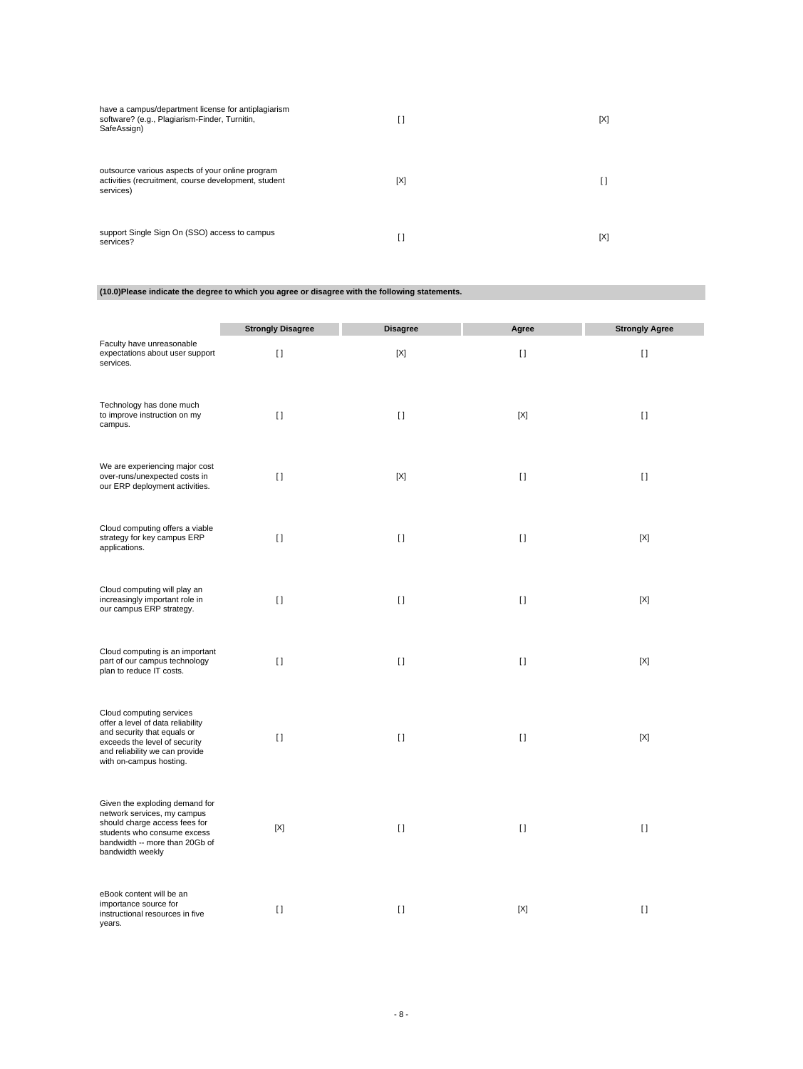| have a campus/department license for antiplagiarism<br>software? (e.g., Plagiarism-Finder, Turnitin,<br>SafeAssign)   | []  | [X] |
|-----------------------------------------------------------------------------------------------------------------------|-----|-----|
| outsource various aspects of your online program<br>activities (recruitment, course development, student<br>services) | [X] | IJ  |
| support Single Sign On (SSO) access to campus<br>services?                                                            | []  | [X] |

# **(10.0)Please indicate the degree to which you agree or disagree with the following statements.**

|                                                                                                                                                                                            | <b>Strongly Disagree</b> | <b>Disagree</b> | Agree   | <b>Strongly Agree</b> |
|--------------------------------------------------------------------------------------------------------------------------------------------------------------------------------------------|--------------------------|-----------------|---------|-----------------------|
| Faculty have unreasonable<br>expectations about user support<br>services.                                                                                                                  | $\lceil$                 | $[{\sf X}]$     | $[ \ ]$ | $\mathbf{I}$          |
| Technology has done much<br>to improve instruction on my<br>campus.                                                                                                                        | $\Box$                   | $\Box$          | [X]     | $[ \ ]$               |
| We are experiencing major cost<br>over-runs/unexpected costs in<br>our ERP deployment activities.                                                                                          | $[ \ ]$                  | [X]             | H       | H                     |
| Cloud computing offers a viable<br>strategy for key campus ERP<br>applications.                                                                                                            | $[ \ ]$                  | $[ \ ]$         | $[ \ ]$ | [X]                   |
| Cloud computing will play an<br>increasingly important role in<br>our campus ERP strategy.                                                                                                 | $\Box$                   | $\Box$          | $\Box$  | [X]                   |
| Cloud computing is an important<br>part of our campus technology<br>plan to reduce IT costs.                                                                                               | $\Box$                   | $\Box$          | $\Box$  | [X]                   |
| Cloud computing services<br>offer a level of data reliability<br>and security that equals or<br>exceeds the level of security<br>and reliability we can provide<br>with on-campus hosting. | $[ \ ]$                  | $[ \ ]$         | $[ \ ]$ | $[{\sf X}]$           |
| Given the exploding demand for<br>network services, my campus<br>should charge access fees for<br>students who consume excess<br>bandwidth -- more than 20Gb of<br>bandwidth weekly        | $[{\sf X}]$              | $[ \ ]$         | $[ \ ]$ | $[ \; ]$              |
| eBook content will be an<br>importance source for<br>instructional resources in five<br>years.                                                                                             | $\lceil$                 | $\lceil$        | [X]     | $\mathbf{I}$          |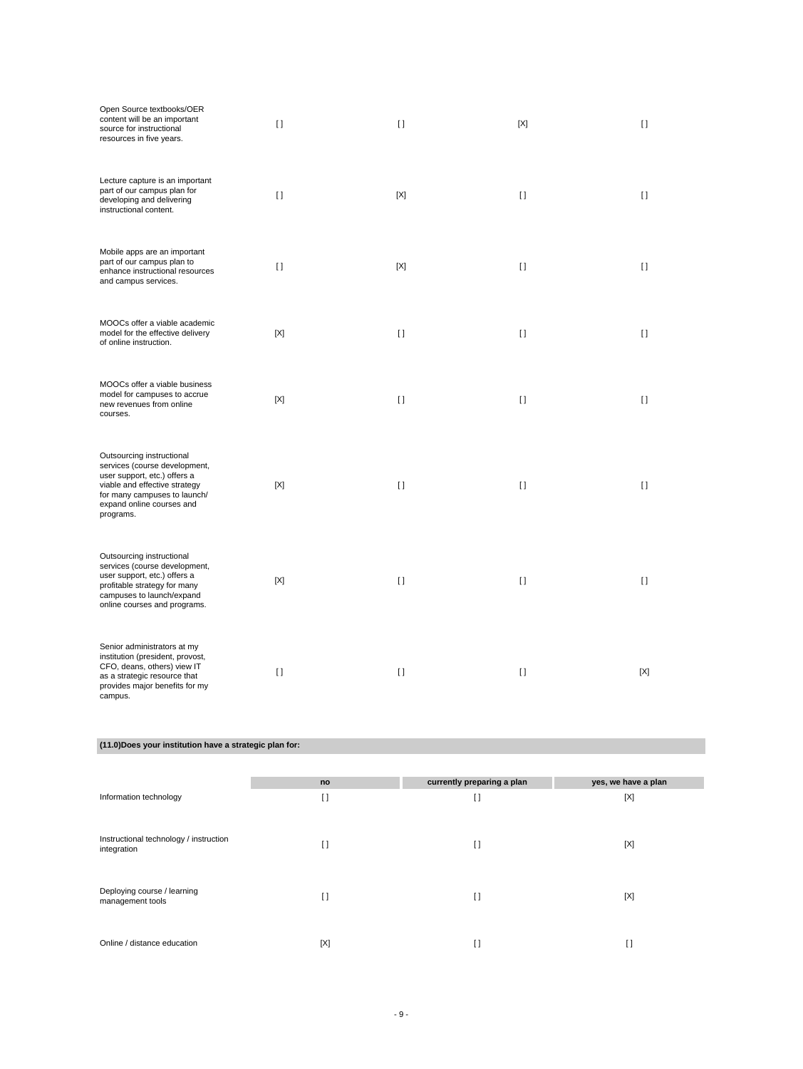| Open Source textbooks/OER<br>content will be an important<br>source for instructional<br>resources in five years.                                                                                     | $\Box$   | $\Box$       | [X]          | $\Box$ |
|-------------------------------------------------------------------------------------------------------------------------------------------------------------------------------------------------------|----------|--------------|--------------|--------|
| Lecture capture is an important<br>part of our campus plan for<br>developing and delivering<br>instructional content.                                                                                 | $\lceil$ | [X]          | $\mathbf{I}$ | H.     |
| Mobile apps are an important<br>part of our campus plan to<br>enhance instructional resources<br>and campus services.                                                                                 | $[ ]$    | [X]          | $[ \ ]$      | $\Box$ |
| MOOCs offer a viable academic<br>model for the effective delivery<br>of online instruction.                                                                                                           | [X]      | $\Box$       | $\Box$       | $\Box$ |
| MOOCs offer a viable business<br>model for campuses to accrue<br>new revenues from online<br>courses.                                                                                                 | [X]      | $\Box$       | $\Box$       | $\Box$ |
| Outsourcing instructional<br>services (course development,<br>user support, etc.) offers a<br>viable and effective strategy<br>for many campuses to launch/<br>expand online courses and<br>programs. | [X]      | $\Box$       | $\Box$       | $\Box$ |
| Outsourcing instructional<br>services (course development,<br>user support, etc.) offers a<br>profitable strategy for many<br>campuses to launch/expand<br>online courses and programs.               | [X]      | $\Box$       | $\Box$       | $\Box$ |
| Senior administrators at my<br>institution (president, provost,<br>CFO, deans, others) view IT<br>as a strategic resource that<br>provides major benefits for my<br>campus.                           | $[ \ ]$  | $\mathbf{I}$ | $\mathbf{I}$ | [X]    |

### **(11.0)Does your institution have a strategic plan for:**

| Information technology                                | no<br>I1 | currently preparing a plan<br>H | yes, we have a plan<br>[X] |
|-------------------------------------------------------|----------|---------------------------------|----------------------------|
| Instructional technology / instruction<br>integration | I)       | H                               | [X]                        |
| Deploying course / learning<br>management tools       | I)       | H                               | [X]                        |
| Online / distance education                           | [X]      | I l                             | ш                          |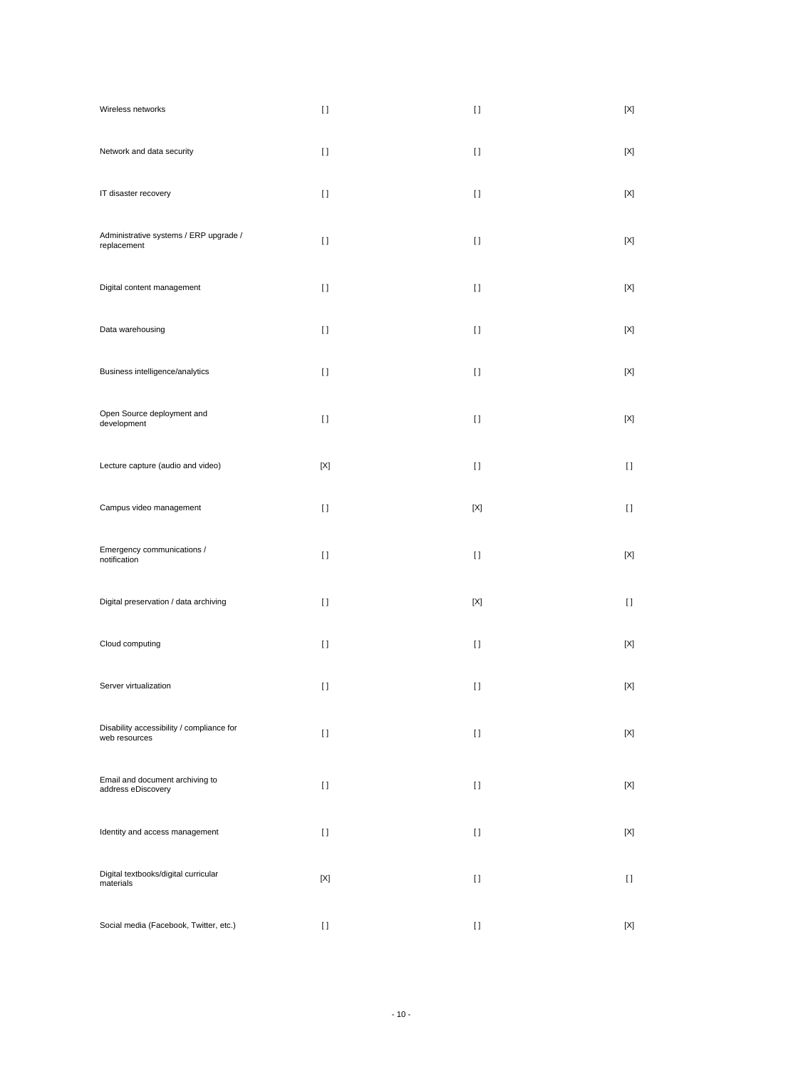| Wireless networks                                          | $[ \ ]$     | $\lceil$    | $\left[ \text{X} \right]$ |
|------------------------------------------------------------|-------------|-------------|---------------------------|
| Network and data security                                  | $[ \ ]$     | $\lceil$    | $[{\sf X}]$               |
| IT disaster recovery                                       | $[ \ ]$     | $\lceil$    | $\left[ \text{X} \right]$ |
| Administrative systems / ERP upgrade /<br>replacement      | $[ \ ]$     | $\lceil$    | $\left[ \text{X} \right]$ |
| Digital content management                                 | $[ \ ]$     | $\lceil$    | $[{\sf X}]$               |
| Data warehousing                                           | $[ \ ]$     | $\lceil$    | $[{\sf X}]$               |
| Business intelligence/analytics                            | $[ \ ]$     | $\lceil$    | $\left[ \text{X} \right]$ |
| Open Source deployment and<br>development                  | $[ \ ]$     | $\lceil$    | $\left[ \text{X} \right]$ |
| Lecture capture (audio and video)                          | [X]         | $\lceil$    | $[ \ ]$                   |
| Campus video management                                    | $[ \ ]$     | $[{\sf X}]$ | $[ \ ]$                   |
| Emergency communications /<br>notification                 | $[ \ ]$     | $\lceil$    | $[{\sf X}]$               |
| Digital preservation / data archiving                      | $[ \ ]$     | $[{\sf X}]$ | H                         |
| Cloud computing                                            | $[ \ ]$     | $\lceil$    | $\left[ \text{X} \right]$ |
| Server virtualization                                      | $[ \ ]$     | $\lceil$    | $[{\sf X}]$               |
| Disability accessibility / compliance for<br>web resources | $[ \ ]$     | $[ \ ]$     | $[{\sf X}]$               |
| Email and document archiving to<br>address eDiscovery      | $[ \ ]$     | $\lceil$    | $[{\sf X}]$               |
| Identity and access management                             | $[ \ ]$     | H           | $[{\sf X}]$               |
| Digital textbooks/digital curricular<br>materials          | $[{\sf X}]$ | $\lceil$    | $[ \ ]$                   |
| Social media (Facebook, Twitter, etc.)                     | H           | $[ \ ]$     | $[{\sf X}]$               |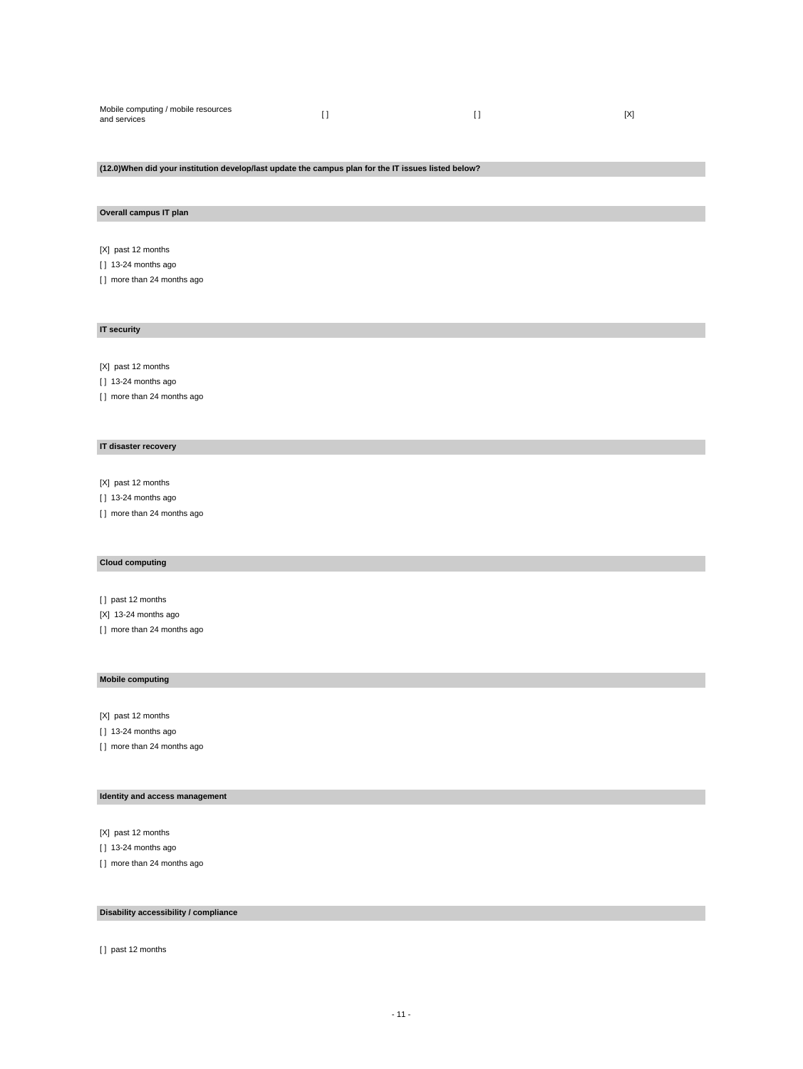| Mobile computing / mobile resources<br>and services |  |  | IX1 |
|-----------------------------------------------------|--|--|-----|
|-----------------------------------------------------|--|--|-----|

### **(12.0)When did your institution develop/last update the campus plan for the IT issues listed below?**

#### **Overall campus IT plan**

[X] past 12 months

- [ ] 13-24 months ago
- [ ] more than 24 months ago

#### **IT security**

[X] past 12 months

[ ] 13-24 months ago

[] more than 24 months ago

### **IT disaster recovery**

[X] past 12 months

[ ] 13-24 months ago

[ ] more than 24 months ago

### **Cloud computing**

[ ] past 12 months

[X] 13-24 months ago

[ ] more than 24 months ago

#### **Mobile computing**

[X] past 12 months

[ ] 13-24 months ago

[ ] more than 24 months ago

# **Identity and access management**

[X] past 12 months

[ ] 13-24 months ago

[ ] more than 24 months ago

### **Disability accessibility / compliance**

[ ] past 12 months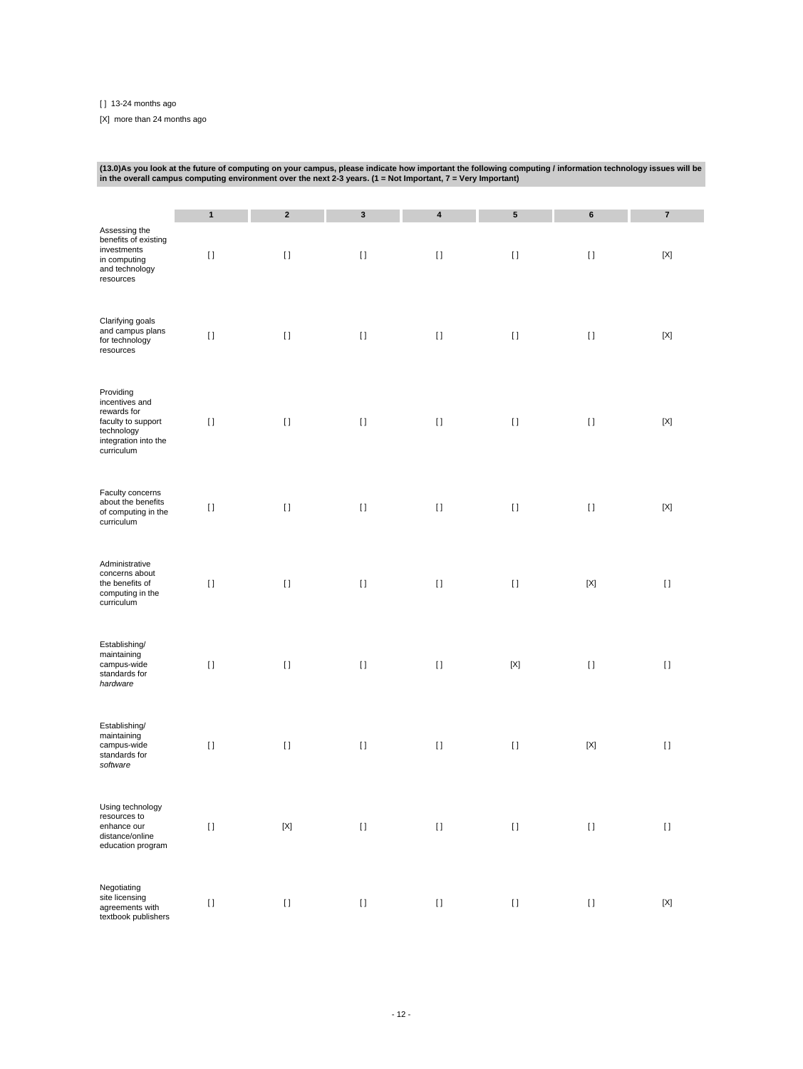[ ] 13-24 months ago

[X] more than 24 months ago

| (13.0) As you look at the future of computing on your campus, please indicate how important the following computing / information technology issues will be<br>in the overall campus computing environment over the next 2-3 years. $(1 = Not$ Important, $7 =$ Very Important) |                         |                        |                        |                       |                                        |                    |                           |  |  |  |
|---------------------------------------------------------------------------------------------------------------------------------------------------------------------------------------------------------------------------------------------------------------------------------|-------------------------|------------------------|------------------------|-----------------------|----------------------------------------|--------------------|---------------------------|--|--|--|
|                                                                                                                                                                                                                                                                                 |                         |                        |                        |                       |                                        |                    |                           |  |  |  |
| Assessing the<br>benefits of existing<br>investments<br>in computing<br>and technology<br>resources                                                                                                                                                                             | $\mathbf{1}$<br>$[ \ ]$ | $\mathbf 2$<br>$[ \ ]$ | $\mathbf 3$<br>$[ \ ]$ | $\pmb{4}$<br>$[ \; ]$ | 5<br>$[ \ ]$                           | $\bf 6$<br>H       | $\pmb{7}$<br>$[{\sf X}]$  |  |  |  |
| Clarifying goals<br>and campus plans<br>for technology<br>resources                                                                                                                                                                                                             | $[ \ ]$                 | $[ \ ]$                | $[ \ ]$                | $[ \ ]$               | $[ \ ]$                                | $[ \ ]$            | $[{\sf X}]$               |  |  |  |
| Providing<br>incentives and<br>rewards for<br>faculty to support<br>technology<br>integration into the<br>curriculum                                                                                                                                                            | $[ \ ]$                 | $[ \ ]$                | $[ \ ]$                | $[ \; ]$              | $[ \ ]$                                | $[ \ ]$            | [X]                       |  |  |  |
| Faculty concerns<br>about the benefits<br>of computing in the<br>curriculum                                                                                                                                                                                                     | $[ \ ]$                 | $[ \ ]$                | $[ \ ]$                | $[ \, ]$              | $[ \; ]$                               | $[ \ ]$            | $\left[ \text{X} \right]$ |  |  |  |
| Administrative<br>concerns about<br>the benefits of<br>computing in the<br>curriculum                                                                                                                                                                                           | $[ \ ]$                 | $\lceil$               | $[ \ ]$                | $[ \ ]$               | $[ \ ]$                                | $[{\sf X}]$        | $[ \ ]$                   |  |  |  |
| Establishing/<br>maintaining<br>campus-wide<br>standards for<br>hardware                                                                                                                                                                                                        | $[ \ ]$                 | $\lceil$               | $[ \ ]$                | $[ \ ]$               | $[{\sf X}]$                            | $[ \ ]$            | $[ \ ]$                   |  |  |  |
| Establishing/<br>maintaining<br>campus-wide<br>standards for<br>software                                                                                                                                                                                                        | $[ \ ]$                 | $[ \ ]$                | $[ \ ]$                | $[ \ ]$               | $[ \ ]$                                | $[{\sf X}]$        | $[ \ ]$                   |  |  |  |
| Using technology<br>resources to<br>enhance our<br>distance/online<br>education program                                                                                                                                                                                         | $[ \; ]$                | $[{\sf X}]$            | $[ \; ]$               | $[ \; ]$              | $[ \; ]$                               | $[ \; ]$           | $[ \ ]$                   |  |  |  |
| Negotiating<br>site licensing<br>agreements with<br>textbook publishers                                                                                                                                                                                                         | $[ \; ]$                | $[ \; ]$               | $\left[ \ \right]$     | $[ \; ]$              | $\begin{array}{c} \square \end{array}$ | $\left[ \ \right]$ | $[{\sf X}]$               |  |  |  |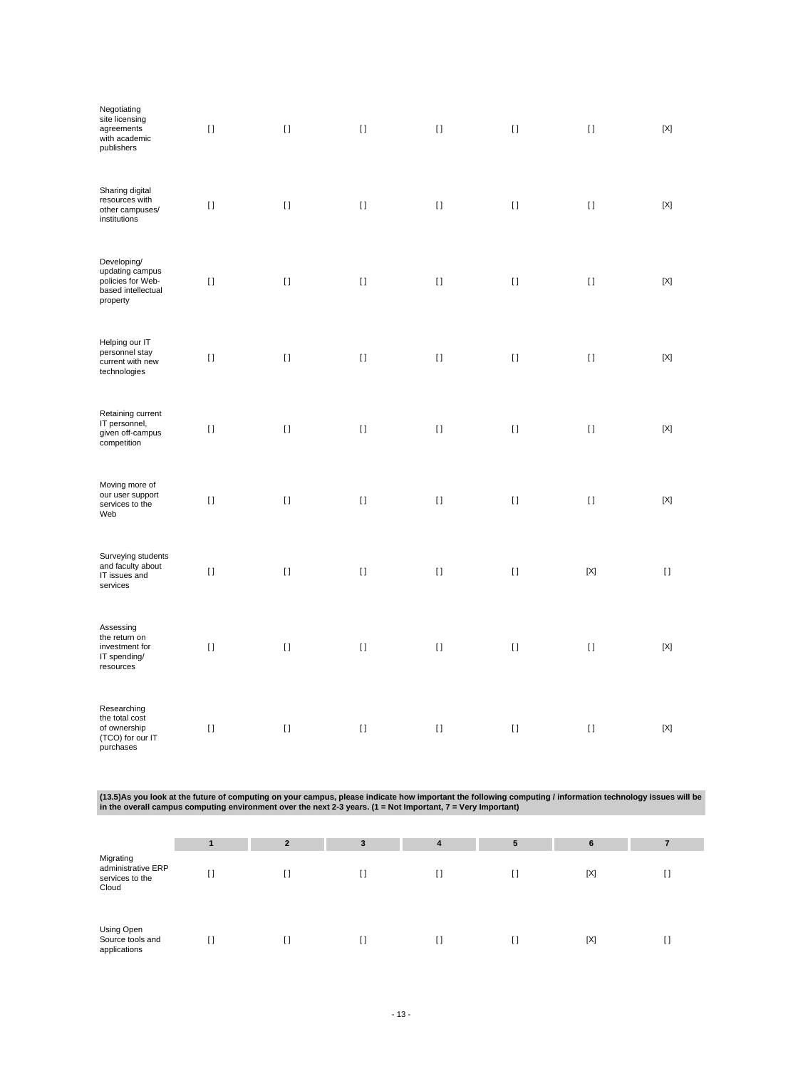| Negotiating<br>site licensing<br>agreements<br>with academic<br>publishers            | $[ \ ]$  | $[ \ ]$  | $[ \ ]$  | $[1]$        | $[ \; ]$ | $[ \; ]$     | $[{\sf X}]$                            |
|---------------------------------------------------------------------------------------|----------|----------|----------|--------------|----------|--------------|----------------------------------------|
| Sharing digital<br>resources with<br>other campuses/<br>institutions                  | $[ \ ]$  | $[ \ ]$  | $[ \; ]$ | $[ \ ]$      | $[ \ ]$  | $[ \ ]$      | $[{\sf X}]$                            |
| Developing/<br>updating campus<br>policies for Web-<br>based intellectual<br>property | $[ \ ]$  | $[ \ ]$  | $[ \; ]$ | $[1]$        | $[ \ ]$  | $[ \; ]$     | $[{\sf X}]$                            |
| Helping our IT<br>personnel stay<br>current with new<br>technologies                  | $[ \ ]$  | $[ \ ]$  | $[ \ ]$  | $[ \ ]$      | $[ \ ]$  | $[ \ ]$      | [X]                                    |
| Retaining current<br>IT personnel,<br>given off-campus<br>competition                 | $[ \ ]$  | $[ \ ]$  | $[ \ ]$  | $\mathbf{I}$ | $[ \ ]$  | $\mathbf{I}$ | $[{\sf X}]$                            |
| Moving more of<br>our user support<br>services to the<br>Web                          | $[ \ ]$  | $[ \ ]$  | $[ \ ]$  | $\mathbf{I}$ | $[ \ ]$  | $\mathbf{I}$ | [X]                                    |
| Surveying students<br>and faculty about<br>IT issues and<br>services                  | $[ \ ]$  | $[ \; ]$ | $[ \ ]$  | $[ \ ]$      | $[ \; ]$ | $[{\sf X}]$  | $\begin{array}{c} \square \end{array}$ |
| Assessing<br>the return on<br>investment for<br>IT spending/<br>resources             | $[ \; ]$ | $[ \; ]$ | $[ \ ]$  | $[ \ ]$      | $[ \ ]$  | $[ \; ]$     | $[{\sf X}]$                            |
| Researching<br>the total cost<br>of ownership<br>(TCO) for our IT<br>purchases        | $[ \ ]$  | $[ \ ]$  | $[ \ ]$  | $[ \ ]$      | $[ \ ]$  | $[ \ ]$      | $[{\sf X}]$                            |

(13.5)As you look at the future of computing on your campus, please indicate how important the following computing / information technology issues will be<br>in the overall campus computing environment over the next 2-3 years

|                                                             |     | $\overline{2}$ | 3 | 4 | 5 | 6   |    |
|-------------------------------------------------------------|-----|----------------|---|---|---|-----|----|
| Migrating<br>administrative ERP<br>services to the<br>Cloud | L J | I)             | U |   |   | [X] | [] |
| Using Open<br>Source tools and<br>applications              |     |                | U |   |   | [X] | I) |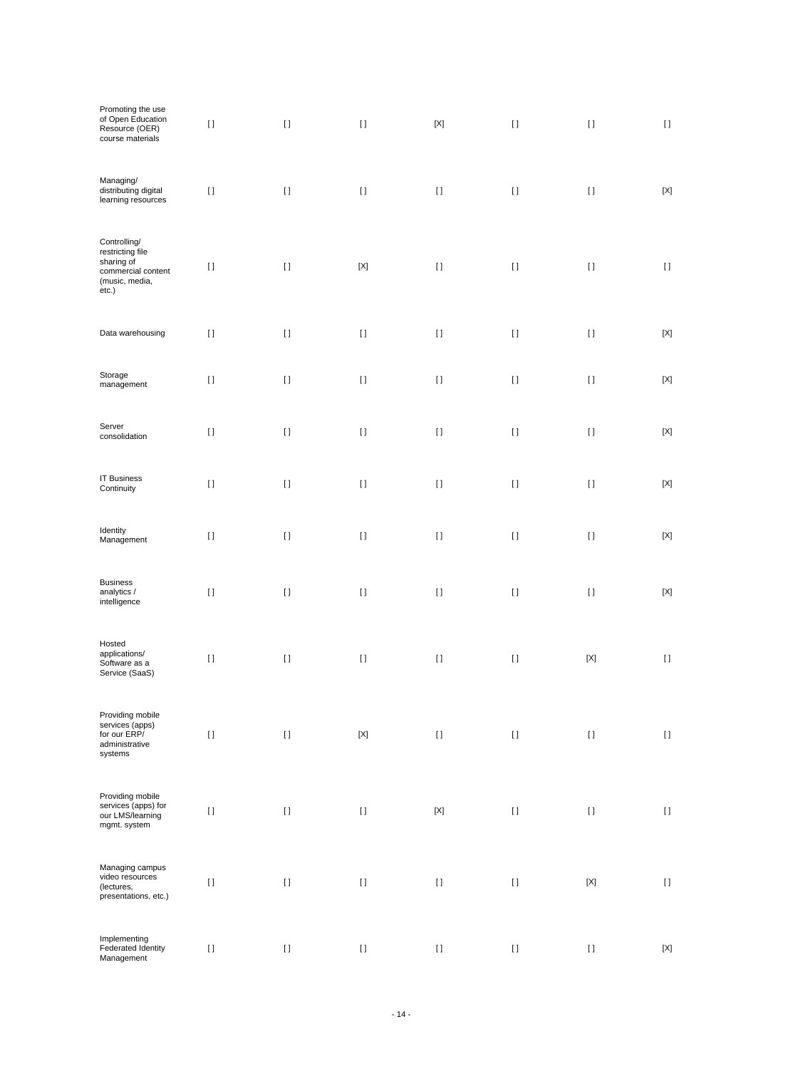| Promoting the use<br>of Open Education<br>Resource (OER)<br>course materials                    | $[ \; ]$ | $[ \; ]$           | $[ \; ]$    | $[{\sf X}]$                                                                                                                                                                                                                                        | $[ \; ]$  | $[ \ ]$                                | $[ \; ]$                   |
|-------------------------------------------------------------------------------------------------|----------|--------------------|-------------|----------------------------------------------------------------------------------------------------------------------------------------------------------------------------------------------------------------------------------------------------|-----------|----------------------------------------|----------------------------|
| Managing/<br>distributing digital<br>learning resources                                         | $[ \; ]$ | $[ \; ]$           | $[ \; ]$    | $[ \; ]$                                                                                                                                                                                                                                           | $[ \; ]$  | $[ \; ]$                               | $[{\sf X}]$                |
| Controlling/<br>restricting file<br>sharing of<br>commercial content<br>(music, media,<br>etc.) | $[ \ ]$  | $[ \; ]$           | $[{\sf X}]$ | $[ \ ]$                                                                                                                                                                                                                                            | $[ \ ]$   | $[ \ ]$                                | $[ \ ]$                    |
| Data warehousing                                                                                | $[ \; ]$ | $[ \; ]$           | $[ \; ]$    | $[ \; ]$                                                                                                                                                                                                                                           | $[ \, ]$  | $[ \; ]$                               | $[{\sf X}]$                |
| Storage<br>management                                                                           | $[ \ ]$  | $[ \; ]$           | $[ \ ]$     | $\lceil$                                                                                                                                                                                                                                           | $[ \ ]$   | $[ \ ]$                                | $[{\sf X}]$                |
| Server<br>consolidation                                                                         | $[ \ ]$  | $[ \; ]$           | $[ \; ]$    | $[ \; ]$                                                                                                                                                                                                                                           | $[ \, ]$  | $[ \; ]$                               | $[{\sf X}]$                |
| <b>IT Business</b><br>Continuity                                                                | $[ \, ]$ | $[ \; ]$           | $[ \; ]$    | $[ \; ]$                                                                                                                                                                                                                                           | $[ \; ]$  | $[ \; ]$                               | $[{\sf X}]$                |
| Identity<br>Management                                                                          | $[ \ ]$  | $[ \; ]$           | $[ \ ]$     | $[ \ ]$                                                                                                                                                                                                                                            | $[ \ ]$   | $\begin{array}{c} \square \end{array}$ | $[{\sf X}]$                |
| <b>Business</b><br>analytics /<br>intelligence                                                  | $[ \ ]$  | $[ \; ]$           | $[ \ ]$     | $[ \; ]$                                                                                                                                                                                                                                           | $[ \; ]$  | $[ \; ]$                               | $[{\sf X}]$                |
| Hosted<br>applications/<br>Software as a<br>Service (SaaS)                                      | $[ \ ]$  | $[ \; ]$           | $[ \; ]$    | $\begin{array}{c} \square \end{array}$                                                                                                                                                                                                             | $[ \; ]$  | $[{\sf X}]$                            | $[ \; ]$                   |
| Providing mobile<br>services (apps)<br>for our ERP/<br>administrative<br>systems                | $[ \, ]$ | $\left[ \ \right]$ | $[{\sf X}]$ | $\rm I$ l                                                                                                                                                                                                                                          | $[ \ ]$   | $\begin{array}{c} \square \end{array}$ | $[ \ ]$                    |
| Providing mobile<br>services (apps) for<br>our LMS/learning<br>mgmt. system                     | $[ \, ]$ | $[ \ ]$            | $[ \ ]$     | $\left[ \text{X} \right]$                                                                                                                                                                                                                          | $\rm I$ l | $\left[ \ \right]$                     | $[ \; ]$                   |
| Managing campus<br>video resources<br>(lectures,<br>presentations, etc.)                        | $[ \ ]$  | $[ \; ]$           | $[ \; ]$    | $[ \ ]$                                                                                                                                                                                                                                            | $[ \ ]$   | $[{\sf X}]$                            | $[ \ ]$                    |
| Implementing<br>Federated Identity<br>Management                                                | $[ \: ]$ | $[ \: ]$           | $[ \: ]$    | $[] \centering \includegraphics[width=0.47\textwidth]{images/TrDiS-Architecture.png} \caption{The 3D (top) and 4D (bottom) are used for the 3D (bottom) and 3D (bottom) are used for the 3D (bottom) and 3D (bottom).} \label{TrDiS-Architecture}$ | $[ \, ]$  | $\begin{array}{c} \square \end{array}$ | $\left[ \mathrm{X}\right]$ |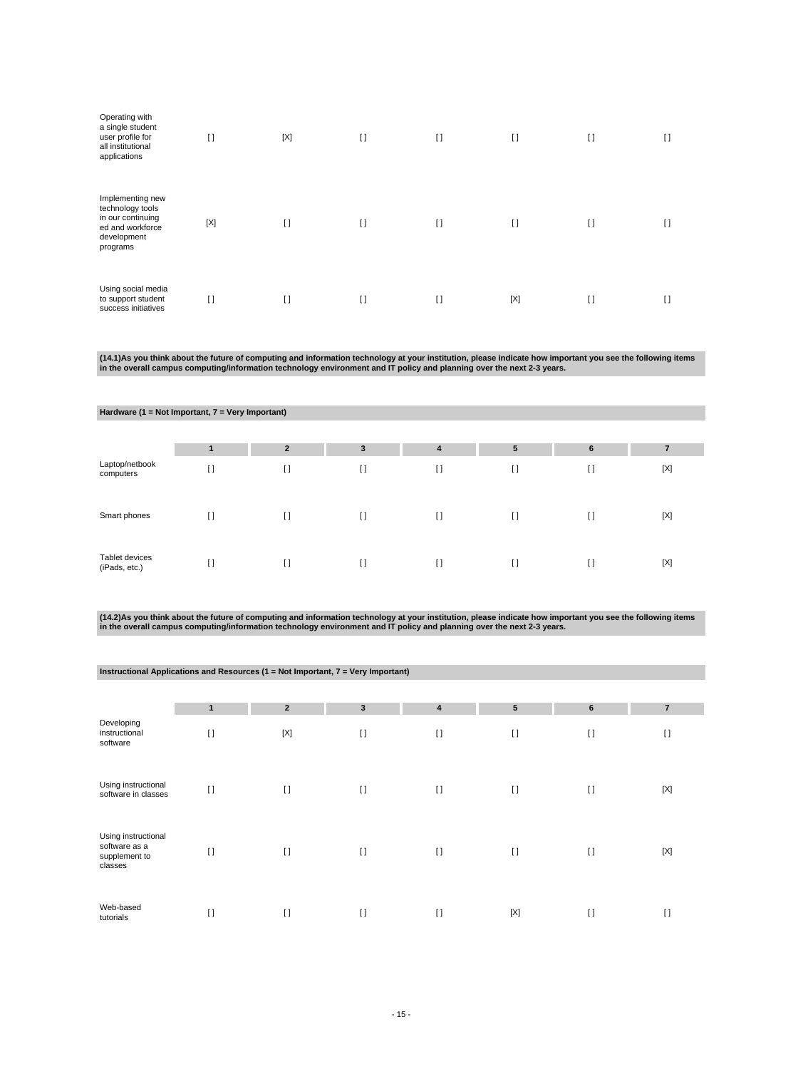| Operating with<br>a single student<br>user profile for<br>all institutional<br>applications              | $\lceil$    | $[{\sf X}]$ | $[ \ ]$  | $\mathbf{I}$ | $[ \ ]$ | I) | U  |
|----------------------------------------------------------------------------------------------------------|-------------|-------------|----------|--------------|---------|----|----|
| Implementing new<br>technology tools<br>in our continuing<br>ed and workforce<br>development<br>programs | $[{\sf X}]$ | $[ \ ]$     | $[ \ ]$  | $\mathbf{I}$ | $[ \ ]$ | I) | IJ |
| Using social media<br>to support student<br>success initiatives                                          | I)          | []          | $\lceil$ | $\mathbf{I}$ | [X]     | I) | I) |

(14.1)As you think about the future of computing and information technology at your institution, please indicate how important you see the following items<br>in the overall campus computing/information technology environment

|                                 | Hardware (1 = Not Important, 7 = Very Important) |                |              |              |         |                 |             |  |  |  |  |  |
|---------------------------------|--------------------------------------------------|----------------|--------------|--------------|---------|-----------------|-------------|--|--|--|--|--|
|                                 |                                                  |                |              |              |         |                 |             |  |  |  |  |  |
|                                 |                                                  | $\overline{2}$ | $\mathbf{3}$ | 4            | 5       | $6\phantom{1}6$ | 7           |  |  |  |  |  |
| Laptop/netbook<br>computers     | []                                               | $[ \ ]$        | $\lceil$     | I)           | $[ \ ]$ | $[ \ ]$         | $[{\sf X}]$ |  |  |  |  |  |
| Smart phones                    | I1                                               | $\Box$         | $[ \ ]$      | $\mathbf{I}$ | $\Box$  | $\Box$          | $[{\sf X}]$ |  |  |  |  |  |
| Tablet devices<br>(iPads, etc.) | []                                               | $[ \ ]$        | $[ \ ]$      | $\mathbf{I}$ | $[ \ ]$ | $[ \ ]$         | $[{\sf X}]$ |  |  |  |  |  |

(14.2)As you think about the future of computing and information technology at your institution, please indicate how important you see the following items<br>in the overall campus computing/information technology environment

|                                                                  |                | Instructional Applications and Resources (1 = Not Important, 7 = Very Important) |              |                         |           |         |                |  |  |  |  |  |  |  |
|------------------------------------------------------------------|----------------|----------------------------------------------------------------------------------|--------------|-------------------------|-----------|---------|----------------|--|--|--|--|--|--|--|
|                                                                  |                |                                                                                  |              |                         |           |         |                |  |  |  |  |  |  |  |
|                                                                  | $\blacksquare$ | $\overline{2}$                                                                   | $\mathbf{3}$ | $\overline{\mathbf{4}}$ | ${\bf 5}$ | 6       | $\overline{7}$ |  |  |  |  |  |  |  |
| Developing<br>instructional<br>software                          | $[ \ ]$        | $[{\sf X}]$                                                                      | $[ \ ]$      | $[ \ ]$                 | $[ \ ]$   | $[ \ ]$ | $\lceil$       |  |  |  |  |  |  |  |
| Using instructional<br>software in classes                       | $[ \ ]$        | $\Box$                                                                           | $[ \ ]$      | $[ \ ]$                 | $[ \ ]$   | $\Box$  | $[{\sf X}]$    |  |  |  |  |  |  |  |
| Using instructional<br>software as a<br>supplement to<br>classes | $[ \ ]$        | $\Box$                                                                           | $\Box$       | $\lceil$                | $[ \ ]$   | $\Box$  | [X]            |  |  |  |  |  |  |  |
| Web-based<br>tutorials                                           | $[ \ ]$        | $\Box$                                                                           | $\lceil$     | $\mathbf{I}$            | [X]       | $\Box$  | $\lceil$       |  |  |  |  |  |  |  |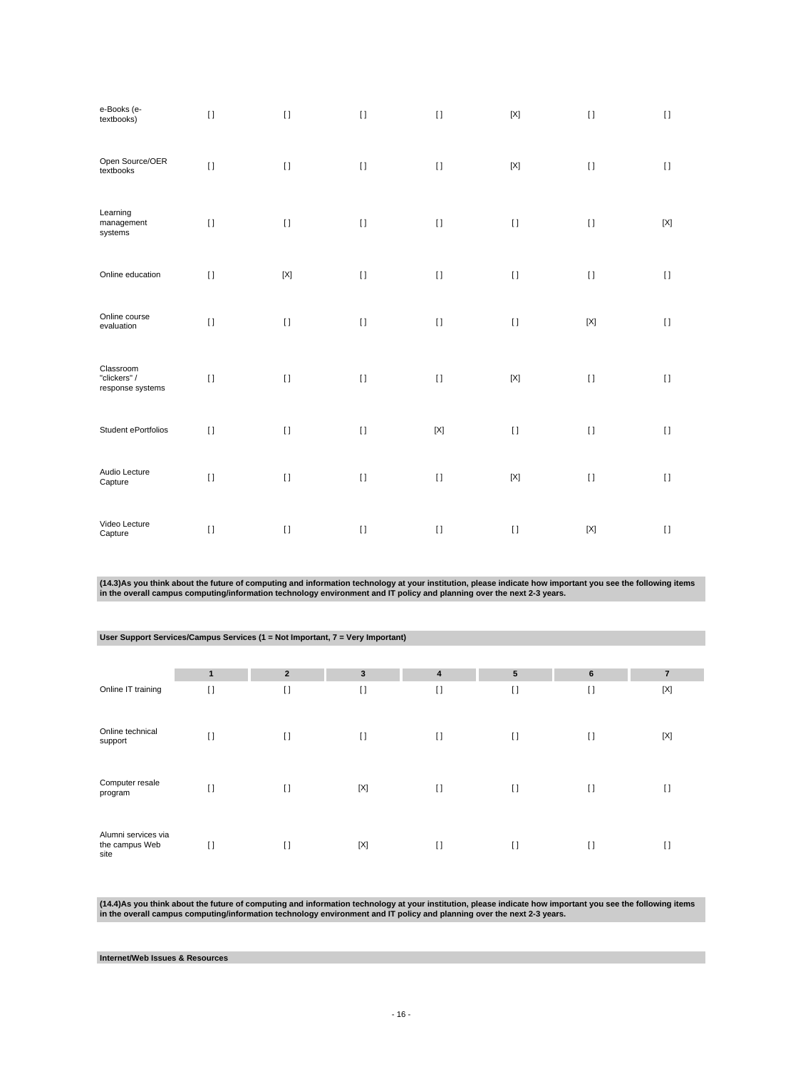| e-Books (e-<br>textbooks)                     | $[ \; ]$ | $[ \; ]$    | $[ \ ]$  | $[ \ ]$                   | $\left[ \text{X} \right]$ | $[ \; ]$                  | $[ \ ]$     |
|-----------------------------------------------|----------|-------------|----------|---------------------------|---------------------------|---------------------------|-------------|
| Open Source/OER<br>textbooks                  | $[ \; ]$ | $[ \; ]$    | $[ \; ]$ | $[ \; ]$                  | $\left[ \text{X} \right]$ | $[ \; ]$                  | $[ \ ]$     |
| Learning<br>management<br>systems             | $[ \; ]$ | $[ \; ]$    | $[ \; ]$ | $[ \; ]$                  | $[ \; ]$                  | $[ \ ]$                   | $[{\sf X}]$ |
| Online education                              | $[ \; ]$ | $[{\sf X}]$ | $[ \; ]$ | $[ \; ]$                  | $[ \; ]$                  | $[ \; ]$                  | $[ \ ]$     |
| Online course<br>evaluation                   | $[ \; ]$ | $[ \; ]$    | $[ \ ]$  | $[ \, ]$                  | $[ \; ]$                  | $\left[ \text{X} \right]$ | $[ \ ]$     |
| Classroom<br>"clickers" /<br>response systems | $[ \ ]$  | $[ \; ]$    | $[ \; ]$ | $[ \; ]$                  | $[{\sf X}]$               | $[ \ ]$                   | $[ \ ]$     |
| Student ePortfolios                           | $[ \; ]$ | $[ \; ]$    | $[ \; ]$ | $\left[ \text{X} \right]$ | $[ \; ]$                  | $[ \; ]$                  | $[ \; ]$    |
| Audio Lecture<br>Capture                      | $[ \; ]$ | $[ \; ]$    | $[ \; ]$ | $[ \; ]$                  | $\left[ \text{X} \right]$ | $[ \; ]$                  | $[ \; ]$    |
| Video Lecture<br>Capture                      | $[ \; ]$ | $[ \; ]$    | $[ \ ]$  | $[ \ ]$                   | $[ \ ]$                   | $[{\sf X}]$               | $[ \ ]$     |

(14.3)As you think about the future of computing and information technology at your institution, please indicate how important you see the following items<br>in the overall campus computing/information technology environment

| User Support Services/Campus Services (1 = Not Important, $7$ = Very Important) |         |                |         |              |                 |                                        |                |  |  |  |  |  |
|---------------------------------------------------------------------------------|---------|----------------|---------|--------------|-----------------|----------------------------------------|----------------|--|--|--|--|--|
|                                                                                 |         |                |         |              |                 |                                        |                |  |  |  |  |  |
|                                                                                 | 1       | $\overline{2}$ | 3       | 4            | $5\phantom{.0}$ | 6                                      | $\overline{7}$ |  |  |  |  |  |
| Online IT training                                                              | $[ \ ]$ | $\Box$         | $[ \ ]$ | $[ \ ]$      | $[ \ ]$         | $\Box$                                 | $[{\sf X}]$    |  |  |  |  |  |
| Online technical<br>support                                                     | $[ \ ]$ | $[ \ ]$        | $[ \ ]$ | $[ \ ]$      | $[ \ ]$         | $\begin{array}{c} \square \end{array}$ | [X]            |  |  |  |  |  |
| Computer resale<br>program                                                      | []      | $\Box$         | [X]     | $[ \ ]$      | $[ \ ]$         | $[ \ ]$                                | I)             |  |  |  |  |  |
| Alumni services via<br>the campus Web<br>site                                   | $\Box$  | $\Box$         | [X]     | $\mathbf{I}$ | $\Box$          | $\Box$                                 | $[ \ ]$        |  |  |  |  |  |

(14.4)As you think about the future of computing and information technology at your institution, please indicate how important you see the following items<br>in the overall campus computing/information technology environment

**Internet/Web Issues & Resources**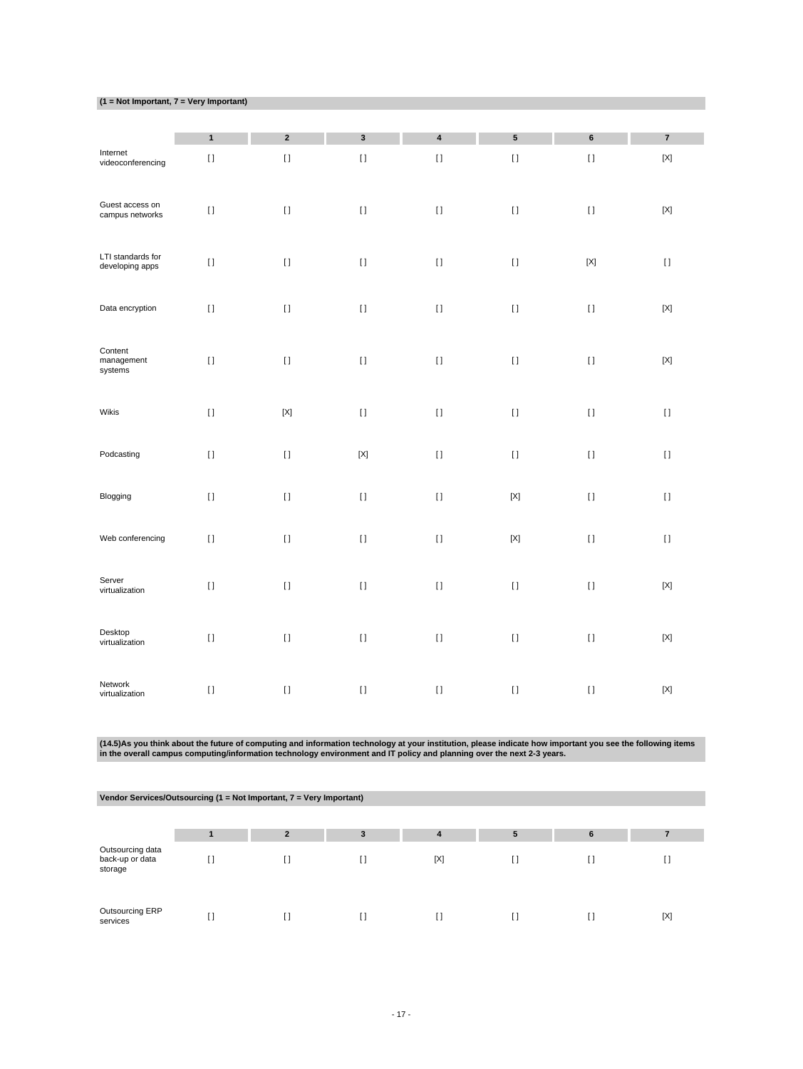|  |  | $(1 = Not Important, 7 = Very Important)$ |  |  |  |
|--|--|-------------------------------------------|--|--|--|
|  |  |                                           |  |  |  |

|                                      | $\mathbf{1}$ | $\mathbf 2$                            | $\mathbf 3$ | 4           | ${\bf 5}$   | 6           | $\overline{\mathbf{7}}$ |
|--------------------------------------|--------------|----------------------------------------|-------------|-------------|-------------|-------------|-------------------------|
| Internet<br>videoconferencing        | $[ \ ]$      | $[ \ ]$                                | $[ \ ]$     | $[ \ ]$     | $[ \; ]$    | $[ \ ]$     | $[{\sf X}]$             |
| Guest access on<br>campus networks   | $[ \, ]$     | $[ \ ]$                                | $[ \; ]$    | $[ \; ]$    | $[ \; ]$    | $[ \; ]$    | $[{\sf X}]$             |
| LTI standards for<br>developing apps | $[ \ ]$      | $[ \ ]$                                | $[ \ ]$     | $[ \ ]$     | $[ \; ]$    | $[{\sf X}]$ | $[ \ ]$                 |
| Data encryption                      | $[ \, ]$     | $[ \ ]$                                | $[ \ ]$     | $\rm II$    | $[ \, ]$    | $[ \; ]$    | $[{\sf X}]$             |
| Content<br>management<br>systems     | $[ \; ]$     | $[ \ ]$                                | $[ \; ]$    | $[ \; ]$    | $[ \; ]$    | $[ \; ]$    | $[{\sf X}]$             |
| Wikis                                | $[ \ ]$      | $[{\sf X}]$                            | $[ \ ]$     | $\bar{\Pi}$ | $[ \; ]$    | $[ \; ]$    | $[ \ ]$                 |
| Podcasting                           | $[ \; ]$     | $[ \ ]$                                | $[{\sf X}]$ | $[ \; ]$    | $[ \; ]$    | $[ \; ]$    | $[ \; ]$                |
| Blogging                             | $[ \; ]$     | $[ \; ]$                               | $[ \; ]$    | $[ \ ]$     | $[{\sf X}]$ | $[ \; ]$    | $[ \; ]$                |
| Web conferencing                     | $[ \; ]$     | $[ \ ]$                                | $[ \; ]$    | $[ \; ]$    | $[{\sf X}]$ | $[ \; ]$    | $[ \; ]$                |
| Server<br>virtualization             | $[ \; ]$     | $[ \; ]$                               | $[ \ ]$     | $[ \ ]$     | $[ \; ]$    | $[ \ ]$     | $[{\sf X}]$             |
| Desktop<br>virtualization            | $[ \, ]$     | $[ \; ]$                               | $[ \ ]$     | $\rm II$    | $[ \; ]$    | $[ \ ]$     | $[{\sf X}]$             |
| Network<br>virtualization            | $[ \; ]$     | $\begin{array}{c} \square \end{array}$ | $[ \ ]$     | $[ \ ]$     | $[ \; ]$    | $[ \; ]$    | $[{\sf X}]$             |

(14.5)As you think about the future of computing and information technology at your institution, please indicate how important you see the following items<br>in the overall campus computing/information technology environment

| Vendor Services/Outsourcing (1 = Not Important, 7 = Very Important) |  |                          |   |     |   |   |     |  |
|---------------------------------------------------------------------|--|--------------------------|---|-----|---|---|-----|--|
|                                                                     |  |                          |   |     |   |   |     |  |
|                                                                     |  | $\overline{\phantom{a}}$ | 3 | 4   | 5 | 6 |     |  |
| Outsourcing data<br>back-up or data<br>storage                      |  |                          |   | [X] |   |   |     |  |
| Outsourcing ERP<br>services                                         |  |                          |   | []  |   |   | [X] |  |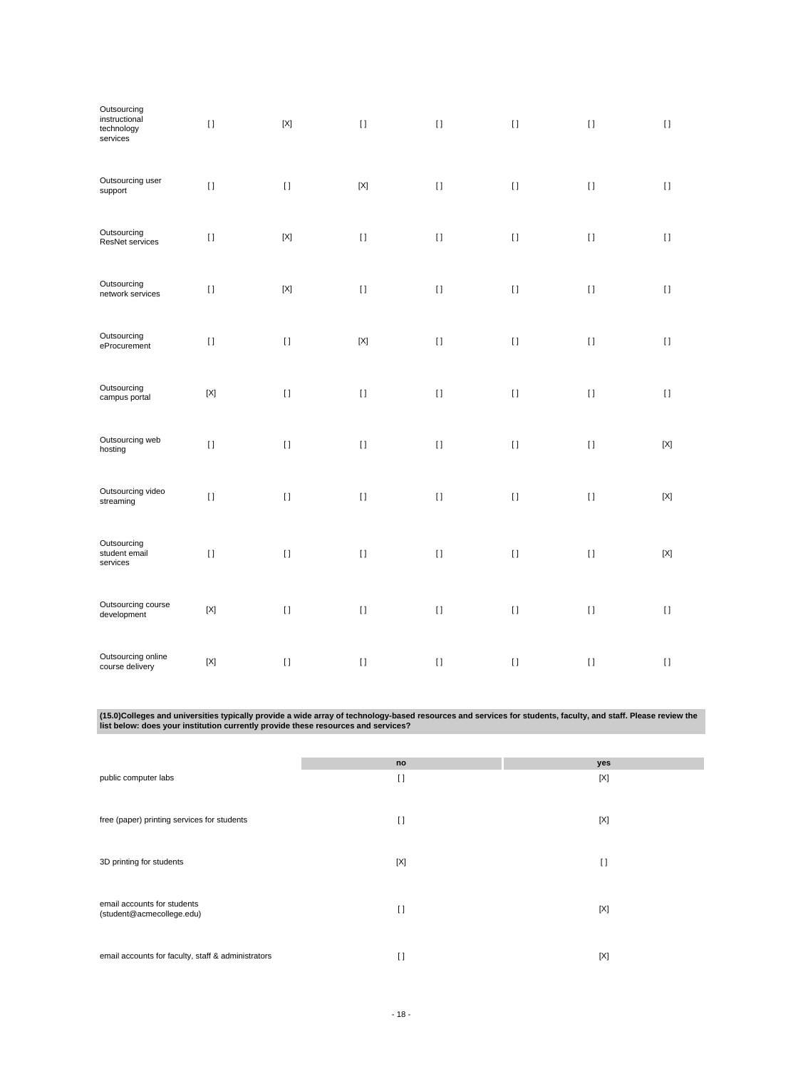| Outsourcing<br>instructional<br>technology<br>services | $[ \ ]$     | $[{\sf X}]$ | $[ \ ]$     | $[ \; ]$ | $[ \; ]$ | $[ \ ]$  | $[ \; ]$    |
|--------------------------------------------------------|-------------|-------------|-------------|----------|----------|----------|-------------|
| Outsourcing user<br>support                            | $[ \ ]$     | $[ \ ]$     | $[{\sf X}]$ | $[ \; ]$ | $[ \ ]$  | $[ \; ]$ | $[ \; ]$    |
| Outsourcing<br>ResNet services                         | $[ \; ]$    | $[{\sf X}]$ | $[ \ ]$     | $[ \; ]$ | $[ \ ]$  | $[ \; ]$ | $[ \; ]$    |
| Outsourcing<br>network services                        | $[ \ ]$     | $[{\sf X}]$ | $[ \ ]$     | $[ \; ]$ | $[ \; ]$ | $[ \ ]$  | $[ \; ]$    |
| Outsourcing<br>eProcurement                            | $[ \ ]$     | $[ \ ]$     | $[{\sf X}]$ | $[ \; ]$ | $[ \ ]$  | $[ \; ]$ | $[ \ ]$     |
| Outsourcing<br>campus portal                           | $[{\sf X}]$ | $[ \ ]$     | $[ \ ]$     | $[ \; ]$ | $[ \; ]$ | $[ \ ]$  | $[ \; ]$    |
| Outsourcing web<br>hosting                             | $[ \; ]$    | $[ \; ]$    | $[ \; ]$    | $[ \; ]$ | $[ \ ]$  | $[ \ ]$  | $[{\sf X}]$ |
| Outsourcing video<br>streaming                         | $[ \; ]$    | $[ \ ]$     | $[ \; ]$    | $[ \; ]$ | $[ \; ]$ | $[ \ ]$  | $[{\sf X}]$ |
| Outsourcing<br>student email<br>services               | $[ \ ]$     | $[ \ ]$     | $[ \; ]$    | $[ \; ]$ | $[ \; ]$ | $[ \; ]$ | $[{\sf X}]$ |
| Outsourcing course<br>development                      | $[{\sf X}]$ | $[ \ ]$     | $[ \; ]$    | $[ \; ]$ | $[ \; ]$ | $[ \; ]$ | $[ \; ]$    |
| Outsourcing online<br>course delivery                  | $[{\sf X}]$ | $[ \; ]$    | $[ \; ]$    | $[1]$    | $[ \; ]$ | $[ \; ]$ | $[ \; ]$    |

(15.0)Colleges and universities typically provide a wide array of technology-based resources and services for students, faculty, and staff. Please review the<br>Iist below: does your institution currently provide these resour

|                                                    | no       | yes    |
|----------------------------------------------------|----------|--------|
| public computer labs                               | $\lceil$ | [X]    |
|                                                    |          |        |
| free (paper) printing services for students        |          |        |
|                                                    | $\Box$   | [X]    |
|                                                    |          |        |
| 3D printing for students                           | [X]      | $\Box$ |
|                                                    |          |        |
|                                                    |          |        |
| email accounts for students                        |          |        |
| (student@acmecollege.edu)                          | $\lceil$ | [X]    |
|                                                    |          |        |
|                                                    |          |        |
| email accounts for faculty, staff & administrators | $\lceil$ | [X]    |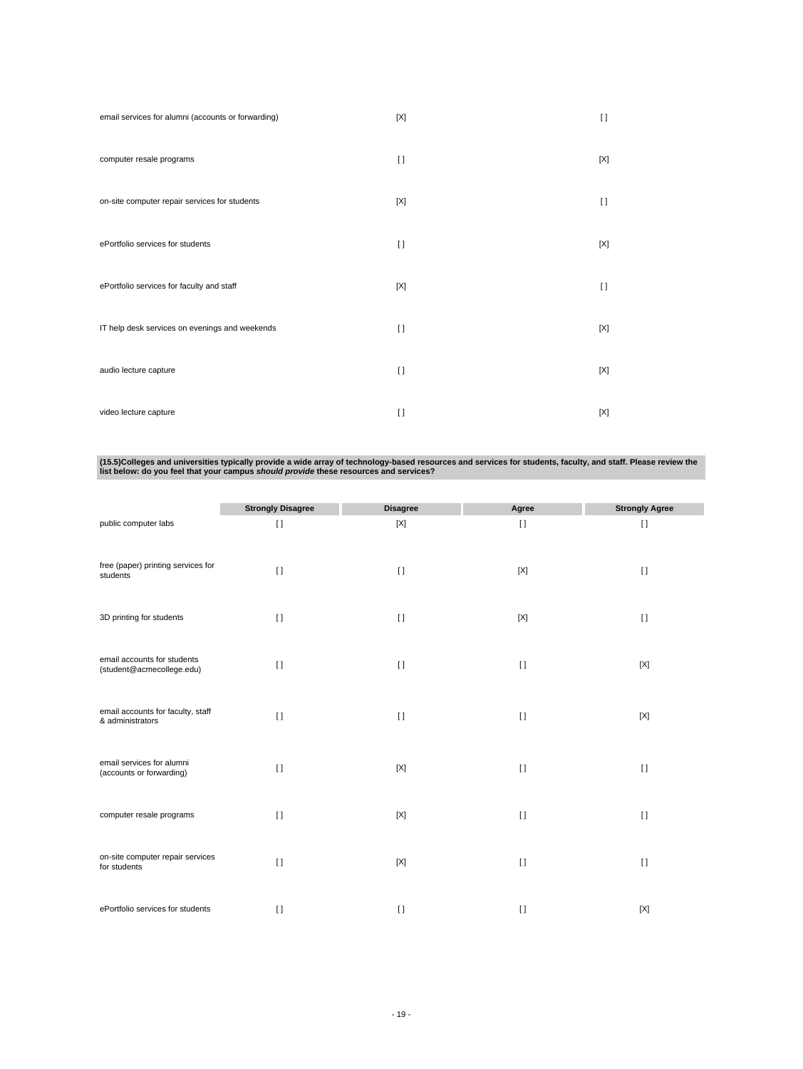| email services for alumni (accounts or forwarding) | [X]      | $\Box$      |
|----------------------------------------------------|----------|-------------|
| computer resale programs                           | $\Box$   | [X]         |
| on-site computer repair services for students      | [X]      | $\Box$      |
| ePortfolio services for students                   | $\Box$   | [X]         |
| ePortfolio services for faculty and staff          | [X]      | $\Box$      |
| IT help desk services on evenings and weekends     | $\Box$   | $[{\sf X}]$ |
| audio lecture capture                              | $\Box$   | [X]         |
| video lecture capture                              | $\lceil$ | $[{\sf X}]$ |

(15.5)Colleges and universities typically provide a wide array of technology-based resources and services for students, faculty, and staff. Please review the<br>Iist below: do you feel that your campus *should provide* these

|                                                          | <b>Strongly Disagree</b> | <b>Disagree</b> | Agree   | <b>Strongly Agree</b> |
|----------------------------------------------------------|--------------------------|-----------------|---------|-----------------------|
| public computer labs                                     | $[ \ ]$                  | $[{\sf X}]$     | $[ \ ]$ | $[ \ ]$               |
| free (paper) printing services for<br>students           | $\Box$                   | $\lceil$        | [X]     | $\lceil$              |
| 3D printing for students                                 | $\lceil$                 | $\lceil$        | [X]     | $[ \ ]$               |
| email accounts for students<br>(student@acmecollege.edu) | $\lceil$                 | $\Box$          | $[ \ ]$ | [X]                   |
| email accounts for faculty, staff<br>& administrators    | $\left[ \ \right]$       | $\lceil$        | $[ \ ]$ | $[{\sf X}]$           |
| email services for alumni<br>(accounts or forwarding)    | $\lceil$                 | [X]             | $[ \ ]$ | $\lceil$              |
| computer resale programs                                 | $\lceil$                 | [X]             | $[ \ ]$ | $[ \; ]$              |
| on-site computer repair services<br>for students         | $\lceil$                 | $[{\sf X}]$     | $[ \ ]$ | $\lceil$              |
| ePortfolio services for students                         | $\lceil$                 | $\lceil$        | $[ \ ]$ | [X]                   |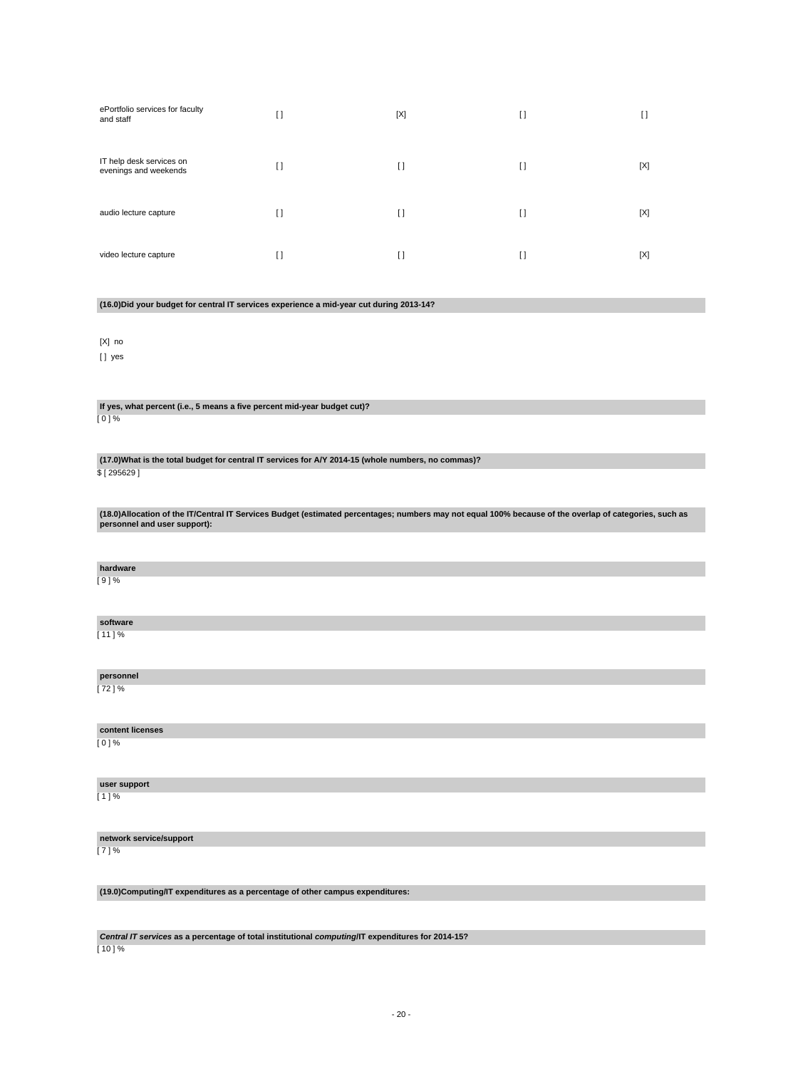| ePortfolio services for faculty<br>and staff      | H        | [X]      | I)      | IJ  |
|---------------------------------------------------|----------|----------|---------|-----|
| IT help desk services on<br>evenings and weekends | $\lceil$ | $\lceil$ | $[ \ ]$ | [X] |
| audio lecture capture                             | H        | $\Box$   | $\Box$  | [X] |
| video lecture capture                             | H        | $\Box$   | $\Box$  | [X] |

**(16.0)Did your budget for central IT services experience a mid-year cut during 2013-14?**

[X] no

[] yes

**If yes, what percent (i.e., 5 means a five percent mid-year budget cut)?** [ 0 ] %

**(17.0)What is the total budget for central IT services for A/Y 2014-15 (whole numbers, no commas)?** \$ [ 295629 ]

**(18.0)Allocation of the IT/Central IT Services Budget (estimated percentages; numbers may not equal 100% because of the overlap of categories, such as personnel and user support):**

| hardware |  |
|----------|--|
| $[9]$ %  |  |
|          |  |

**software**  $[11] %$ 

**personnel**  $[72] \%$ 

**content licenses** [ 0 ] %

**user support** [ 1 ] %

**network service/support** [ 7 ] %

**(19.0)Computing/IT expenditures as a percentage of other campus expenditures:**

**Central IT services as a percentage of total institutional computing/IT expenditures for 2014-15?** [ 10 ] %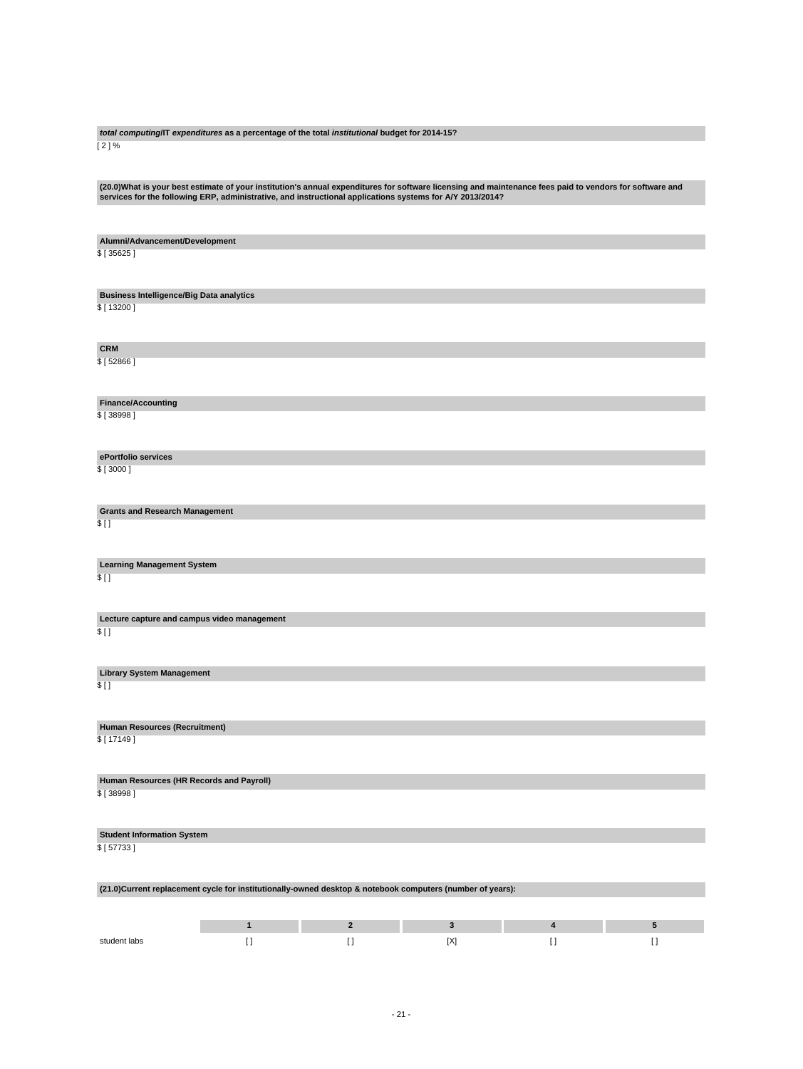**total computing/IT expenditures as a percentage of the total institutional budget for 2014-15?** [ 2 ] % (20.0)What is your best estimate of your institution's annual expenditures for software licensing and maintenance fees paid to vendors for software and<br>services for the following ERP, administrative, and instructional appl **Alumni/Advancement/Development** \$ [ 35625 ] **Business Intelligence/Big Data analytics** \$ [ 13200 ] **CRM** \$ [ 52866 ] **Finance/Accounting** \$ [ 38998 ] **ePortfolio services** \$ [ 3000 ] **Grants and Research Management**  $$$   $\overline{1}$ **Learning Management System**  $$$  [ ] **Lecture capture and campus video management**  $$$  [ ] **Library System Management**  $$$  [ ] **Human Resources (Recruitment)** \$ [ 17149 ] **Human Resources (HR Records and Payroll)** \$ [ 38998 ] **Student Information System**

\$ [ 57733 ]

| (21.0)Current replacement cycle for institutionally-owned desktop & notebook computers (number of years): |  |  |     |  |  |  |  |
|-----------------------------------------------------------------------------------------------------------|--|--|-----|--|--|--|--|
|                                                                                                           |  |  |     |  |  |  |  |
|                                                                                                           |  |  |     |  |  |  |  |
| student labs                                                                                              |  |  | ΙXΙ |  |  |  |  |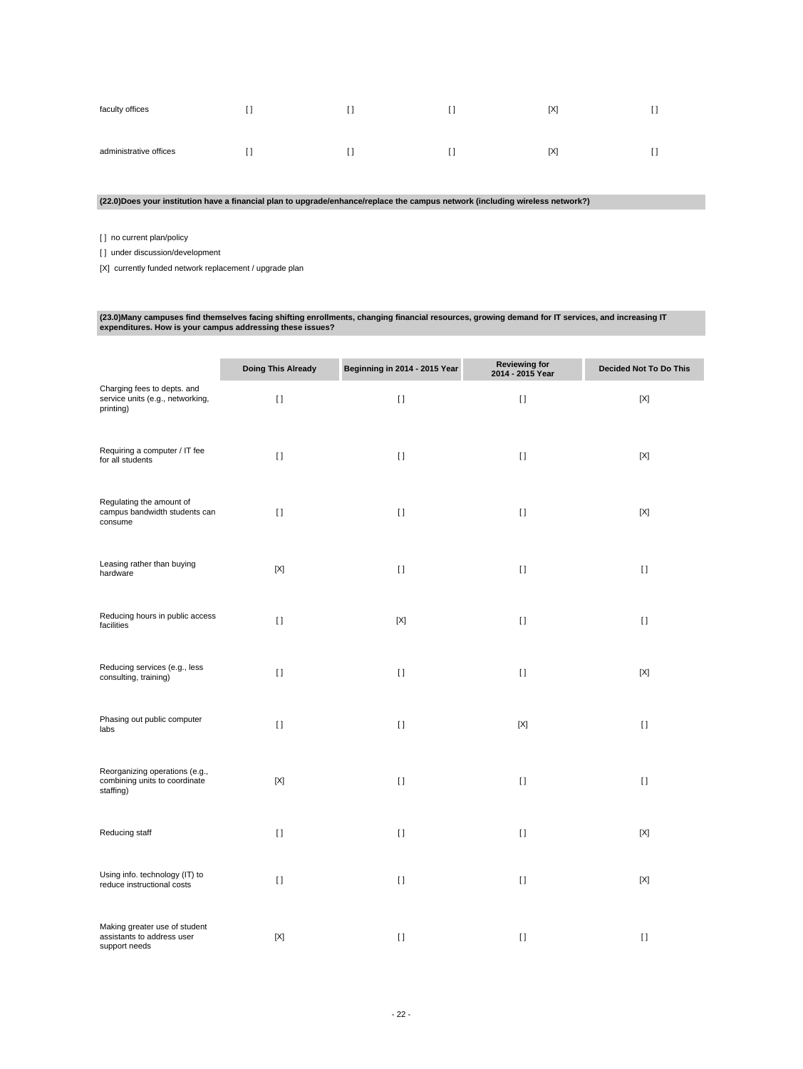| faculty offices        |  | [X] |  |
|------------------------|--|-----|--|
| administrative offices |  | [X] |  |

**(22.0)Does your institution have a financial plan to upgrade/enhance/replace the campus network (including wireless network?)**

[ ] no current plan/policy

[] under discussion/development

[X] currently funded network replacement / upgrade plan

# **(23.0)Many campuses find themselves facing shifting enrollments, changing financial resources, growing demand for IT services, and increasing IT expenditures. How is your campus addressing these issues?**

|                                                                              | <b>Doing This Already</b> | Beginning in 2014 - 2015 Year | <b>Reviewing for</b><br>2014 - 2015 Year | <b>Decided Not To Do This</b> |
|------------------------------------------------------------------------------|---------------------------|-------------------------------|------------------------------------------|-------------------------------|
| Charging fees to depts. and<br>service units (e.g., networking,<br>printing) | $\lceil$                  | $[ \ ]$                       | $[ \ ]$                                  | $[{\sf X}]$                   |
| Requiring a computer / IT fee<br>for all students                            | $\lceil$                  | $[ \ ]$                       | $[ \; ]$                                 | $[{\sf X}]$                   |
| Regulating the amount of<br>campus bandwidth students can<br>consume         | $[ \ ]$                   | $[ \ ]$                       | $[ \ ]$                                  | [X]                           |
| Leasing rather than buying<br>hardware                                       | $[{\sf X}]$               | $\lceil$                      | $[ \; ]$                                 | $[ \; ]$                      |
| Reducing hours in public access<br>facilities                                | $[ \ ]$                   | $[{\sf X}]$                   | $[ \; ]$                                 | $[ \; ]$                      |
| Reducing services (e.g., less<br>consulting, training)                       | $[ \ ]$                   | $[ \ ]$                       | $[ \ ]$                                  | [X]                           |
| Phasing out public computer<br>labs                                          | $\lceil$                  | $[ \ ]$                       | $[{\sf X}]$                              | $[ \; ]$                      |
| Reorganizing operations (e.g.,<br>combining units to coordinate<br>staffing) | $[{\sf X}]$               | $[ \ ]$                       | $[ \ ]$                                  | $\mathbf{I}$                  |
| Reducing staff                                                               | $[ \ ]$                   | $\lceil$                      | $[ \ ]$                                  | [X]                           |
| Using info. technology (IT) to<br>reduce instructional costs                 | $\lceil$                  | $\lceil$                      | $\lceil$                                 | $[{\sf X}]$                   |
| Making greater use of student<br>assistants to address user<br>support needs | $[{\sf X}]$               | $[ \ ]$                       | $[ \; ]$                                 | $[ \; ]$                      |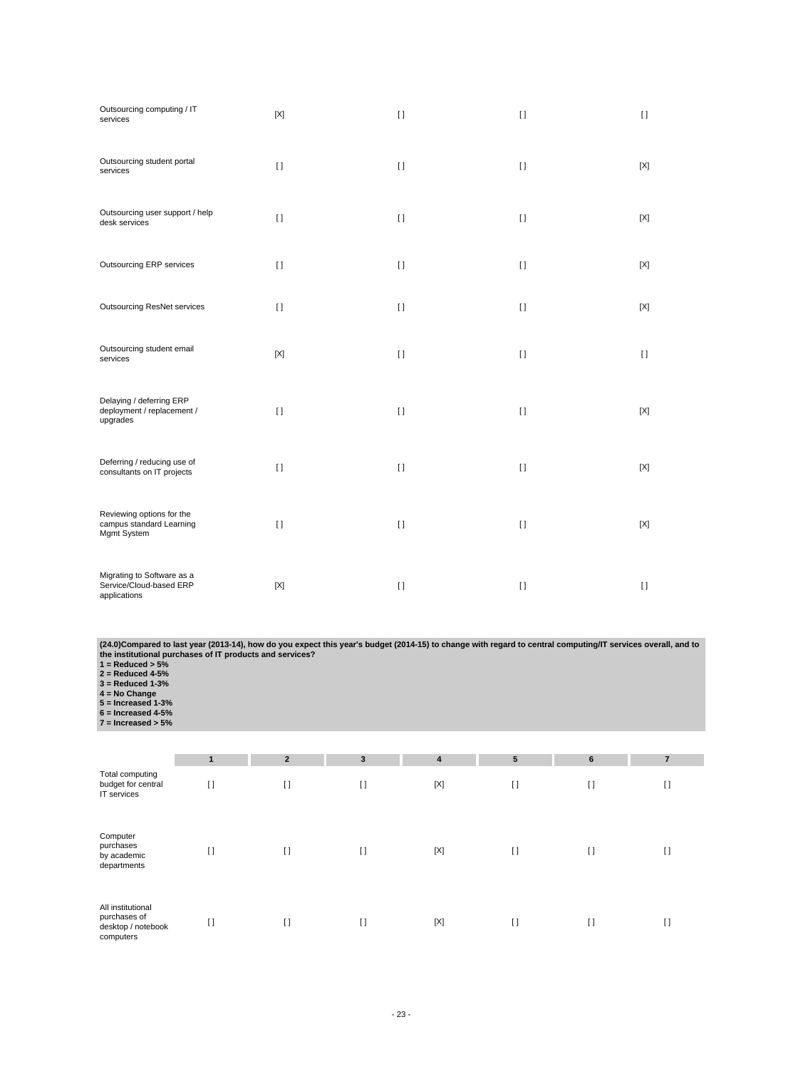| Outsourcing computing / IT<br>services                                | $[{\sf X}]$ | $[ \; ]$     | $[ \ ]$      | $\mathbf{I}$ |
|-----------------------------------------------------------------------|-------------|--------------|--------------|--------------|
| Outsourcing student portal<br>services                                | $[ \ ]$     | $\mathbf{I}$ | $[ \ ]$      | $[{\sf X}]$  |
| Outsourcing user support / help<br>desk services                      | $[ \ ]$     | $[ \ ]$      | $[ \; ]$     | [X]          |
| Outsourcing ERP services                                              | $\lceil$    | $[ \ ]$      | $\mathbf{I}$ | [X]          |
| <b>Outsourcing ResNet services</b>                                    | $\lceil$    | $[ \ ]$      | $[ \ ]$      | [X]          |
| Outsourcing student email<br>services                                 | [X]         | $\mathbf{I}$ | $[ \ ]$      | $\lceil$     |
| Delaying / deferring ERP<br>deployment / replacement /<br>upgrades    | $[ \ ]$     | $[ \ ]$      | $[ \ ]$      | [X]          |
| Deferring / reducing use of<br>consultants on IT projects             | $\lceil$    | $[ \ ]$      | $[ \ ]$      | [X]          |
| Reviewing options for the<br>campus standard Learning<br>Mgmt System  | $[ \ ]$     | $[ \ ]$      | $\mathbf{I}$ | $[{\sf X}]$  |
| Migrating to Software as a<br>Service/Cloud-based ERP<br>applications | $[{\sf X}]$ | $[ \ ]$      | $[ \ ]$      | $[ \ ]$      |

(24.0)Compared to last year (2013-14), how do you expect this year's budget (2014-15) to change with regard to central computing/IT services overall, and to<br>the institutional purchases of IT products and services?<br>1 = Redu

|                                                                      | 1        | $\overline{2}$ | 3        | 4   | $5\phantom{.0}$ | 6        | $\overline{7}$ |
|----------------------------------------------------------------------|----------|----------------|----------|-----|-----------------|----------|----------------|
| Total computing<br>budget for central<br>IT services                 | H        | $\Box$         | $\lceil$ | [X] | $[ \ ]$         | $\lceil$ | $\lceil$       |
| Computer<br>purchases<br>by academic<br>departments                  | $[ \ ]$  | $\lceil$       | $\lceil$ | [X] | $[ \ ]$         | $\lceil$ | $[ \ ]$        |
| All institutional<br>purchases of<br>desktop / notebook<br>computers | $\lceil$ | $\lceil$       | $[ \ ]$  | [X] | $[ \ ]$         | $\lceil$ | $\lceil$       |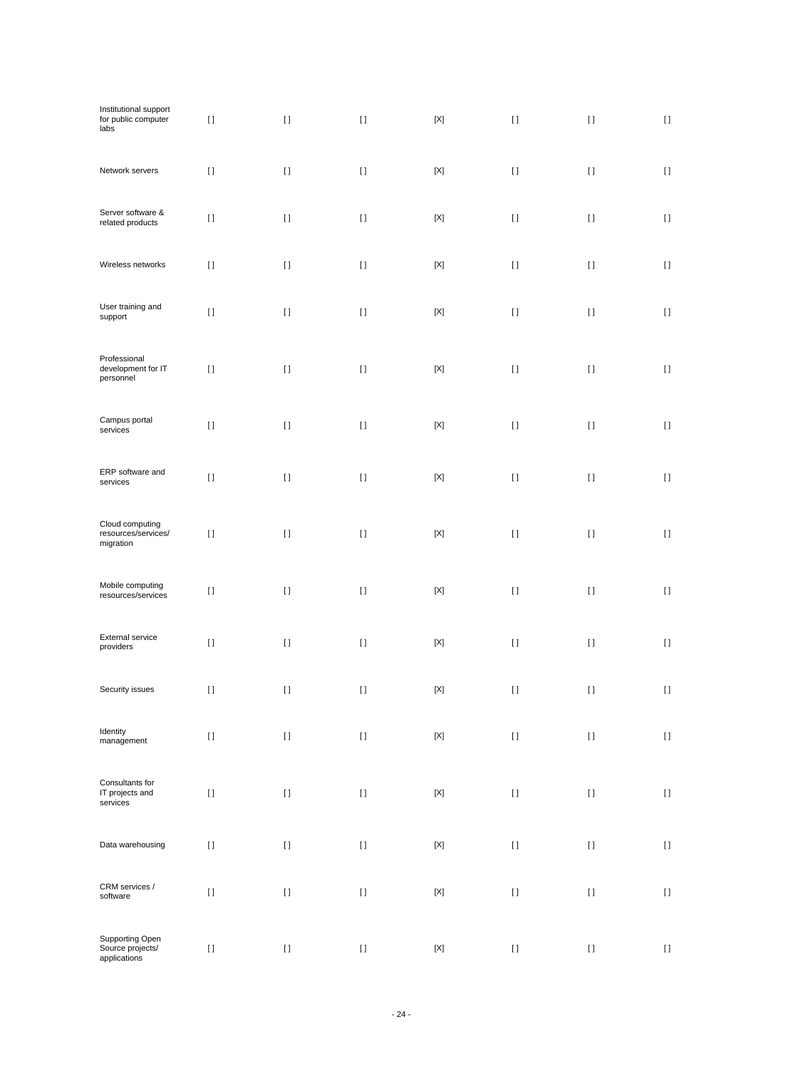| Institutional support<br>for public computer<br>labs | $[ \: ]$ | $[ \ ]$            | $[ \: ]$ | $\left[ \text{X} \right]$ | $[ \; ]$                                                                                                                                                                                              | $[ \; ]$ | $[ \ ]$            |
|------------------------------------------------------|----------|--------------------|----------|---------------------------|-------------------------------------------------------------------------------------------------------------------------------------------------------------------------------------------------------|----------|--------------------|
| Network servers                                      | $[ \ ]$  | $[ \; ]$           | $[ \; ]$ | $[{\sf X}]$               | $[ \; ]$                                                                                                                                                                                              | $[ \ ]$  | $\left[ \ \right]$ |
| Server software &<br>related products                | $[ \ ]$  | $[ \; ]$           | $[ \: ]$ | $[{\sf X}]$               | $[ \; ]$                                                                                                                                                                                              | $[ \ ]$  | $[ \ ]$            |
| Wireless networks                                    | $[ \; ]$ | $[ \; ]$           | $[ \; ]$ | $[{\sf X}]$               | $[ \ ]$                                                                                                                                                                                               | $[ \; ]$ | $[ \ ]$            |
| User training and<br>support                         | $[ \; ]$ | $[ \; ]$           | $[ \: ]$ | [X]                       | $[ \ ]$                                                                                                                                                                                               | $[ \; ]$ | $[ \ ]$            |
| Professional<br>development for IT<br>personnel      | $[ \ ]$  | $[ \; ]$           | $[ \; ]$ | $[{\sf X}]$               | $[ \; ]$                                                                                                                                                                                              | $[ \ ]$  | $[ \ ]$            |
| Campus portal<br>services                            | $[ \; ]$ | $\left[ \ \right]$ | $[ \; ]$ | $[{\sf X}]$               | $\rm I$ l                                                                                                                                                                                             | $[ \; ]$ | $[ \ ]$            |
| ERP software and<br>services                         | $[ \ ]$  | $[ \ ]$            | $[ \; ]$ | $[{\sf X}]$               | $[ \; ]$                                                                                                                                                                                              | $[ \ ]$  | $[ \ ]$            |
| Cloud computing<br>resources/services/<br>migration  | $[ \, ]$ | $[ \ ]$            | $[ \; ]$ | $[{\sf X}]$               | $[ \; ]$                                                                                                                                                                                              | $[ \ ]$  | $[ \ ]$            |
| Mobile computing<br>resources/services               | $[ \ ]$  | $[ \ ]$            | $[ \; ]$ | $[{\sf X}]$               | $[ \; ]$                                                                                                                                                                                              | $[ \ ]$  | $[ \ ]$            |
| External service<br>providers                        | $[ \, ]$ | $[ \ ]$            | $[ \; ]$ | $[{\sf X}]$               | $[ \; ]$                                                                                                                                                                                              | $[ \ ]$  | $[ \ ]$            |
| Security issues                                      | $[ \ ]$  | $[ \ ]$            | $[ \; ]$ | $[{\sf X}]$               | $[ \; ]$                                                                                                                                                                                              | $[ \ ]$  | $[ \ ]$            |
| Identity<br>management                               | $[ \ ]$  | $\left[ \ \right]$ | $[ \ ]$  | $\left[ \text{X} \right]$ | $[ \; ]$                                                                                                                                                                                              | $[ \; ]$ | $[ \: ]$           |
| Consultants for<br>IT projects and<br>services       | $[ \ ]$  | $[ \: ]$           | $[ \ ]$  | $[{\sf X}]$               | $[] \centering \includegraphics[width=0.47\textwidth]{images/TrDiS-Architecture.png} \caption{The 3D (top) and 4D (bottom) are used for the 3D (bottom) and 3D (bottom).} \label{TrDiS-Architecture}$ | $[ \; ]$ | $[ \ ]$            |
| Data warehousing                                     | $[ \, ]$ | $[ \ ]$            | $[ \ ]$  | $\left[ \text{X} \right]$ | $[] \centering \includegraphics[width=0.47\textwidth]{images/TrDiS-Architecture.png} \caption{The 3D (top) and 4D (bottom) are used for the 3D (bottom) and 3D (bottom).} \label{TrDiS-Architecture}$ | $[ \; ]$ | $[ \; ]$           |
| CRM services /<br>software                           | $[ \ ]$  | $[ \ ]$            | $[ \ ]$  | $[{\sf X}]$               | $[ \; ]$                                                                                                                                                                                              | $[ \ ]$  | $[ \ ]$            |
| Supporting Open<br>Source projects/<br>applications  | $[ \: ]$ | $[ \: ]$           | $[ \: ]$ | $[{\sf X}]$               | $[ \: ]$                                                                                                                                                                                              | $[ \; ]$ | $[ \ ]$            |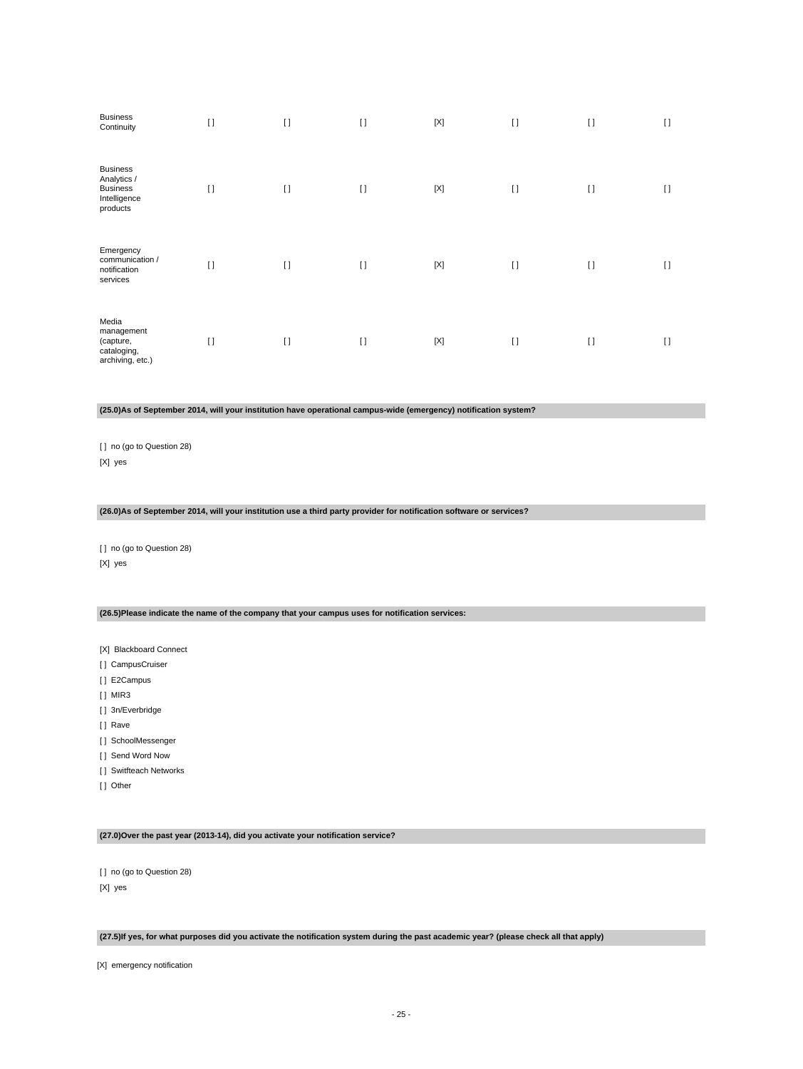| <b>Business</b><br>Continuity                                                 | $[ \ ]$ | $\lceil$ | $\lceil$ | $[{\sf X}]$ | $[ \ ]$  | $\lceil$ | $\lceil$ |
|-------------------------------------------------------------------------------|---------|----------|----------|-------------|----------|----------|----------|
| <b>Business</b><br>Analytics /<br><b>Business</b><br>Intelligence<br>products | $[ \ ]$ | $\lceil$ | $\lceil$ | $[{\sf X}]$ | $\lceil$ | $\lceil$ | $\lceil$ |
| Emergency<br>communication /<br>notification<br>services                      | $[ \ ]$ | $\lceil$ | $\lceil$ | $[{\sf X}]$ | $\lceil$ | $\lceil$ | $\lceil$ |
| Media<br>management<br>(capture,<br>cataloging,<br>archiving, etc.)           | $[ \ ]$ | $[ \ ]$  | $\lceil$ | $[{\sf X}]$ | $[ \ ]$  | $[ \ ]$  | $\lceil$ |

#### **(25.0)As of September 2014, will your institution have operational campus-wide (emergency) notification system?**

[ ] no (go to Question 28) [X] yes

# **(26.0)As of September 2014, will your institution use a third party provider for notification software or services?**

[ ] no (go to Question 28) [X] yes

#### **(26.5)Please indicate the name of the company that your campus uses for notification services:**

[X] Blackboard Connect

- [] CampusCruiser
- [] E2Campus
- [ ] MIR3
- [] 3n/Everbridge
- [] Rave
- [] SchoolMessenger
- [ ] Send Word Now
- [ ] Switfteach Networks
- [ ] Other

#### **(27.0)Over the past year (2013-14), did you activate your notification service?**

[ ] no (go to Question 28) [X] yes

#### **(27.5)If yes, for what purposes did you activate the notification system during the past academic year? (please check all that apply)**

[X] emergency notification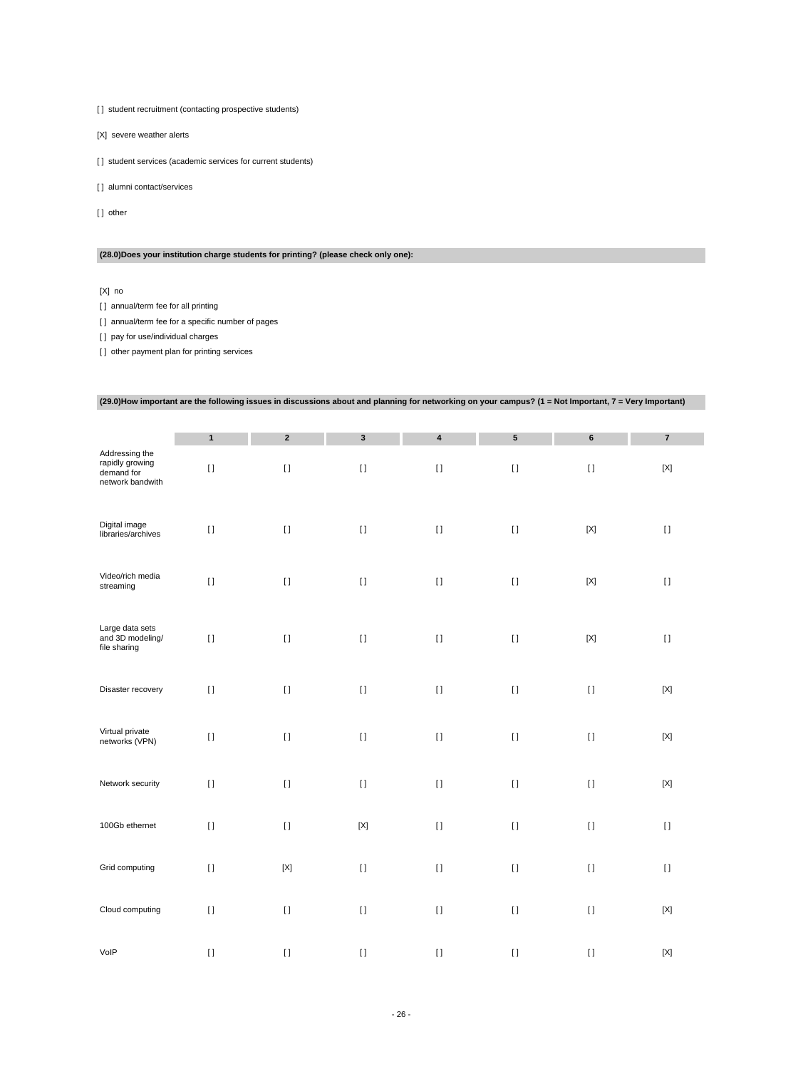[] student recruitment (contacting prospective students)

[X] severe weather alerts

[] student services (academic services for current students)

[] alumni contact/services

[] other

### **(28.0)Does your institution charge students for printing? (please check only one):**

[X] no

[] annual/term fee for all printing

[] annual/term fee for a specific number of pages

[] pay for use/individual charges

[] other payment plan for printing services

|                                                                     | (29.0)How important are the following issues in discussions about and planning for networking on your campus? (1 = Not Important, 7 = Very Important) |                  |             |                         |           |             |                           |
|---------------------------------------------------------------------|-------------------------------------------------------------------------------------------------------------------------------------------------------|------------------|-------------|-------------------------|-----------|-------------|---------------------------|
|                                                                     |                                                                                                                                                       |                  |             |                         |           |             |                           |
|                                                                     | $\mathbf{1}$                                                                                                                                          | $\boldsymbol{2}$ | $\mathbf 3$ | $\overline{\mathbf{4}}$ | ${\bf 5}$ | 6           | $\overline{7}$            |
| Addressing the<br>rapidly growing<br>demand for<br>network bandwith | $[ \ ]$                                                                                                                                               | $[ \; ]$         | $[ \; ]$    | $[ \, ]$                | $[ \; ]$  | $[ \; ]$    | $[{\sf X}]$               |
| Digital image<br>libraries/archives                                 | $[ \; ]$                                                                                                                                              | $[ \; ]$         | $[ \; ]$    | $[ \ ]$                 | $[ \; ]$  | $[{\sf X}]$ | $[ \; ]$                  |
| Video/rich media<br>streaming                                       | $[ \ ]$                                                                                                                                               | $[ \ ]$          | $[ \ ]$     | $[ \ ]$                 | $[ \ ]$   | $[{\sf X}]$ | $[ \ ]$                   |
| Large data sets<br>and 3D modeling/<br>file sharing                 | $[ \; ]$                                                                                                                                              | $[ \; ]$         | $[ \; ]$    | $[ \; ]$                | $[ \; ]$  | $[{\sf X}]$ | $[ \ ]$                   |
| Disaster recovery                                                   | $[ \ ]$                                                                                                                                               | $[ \ ]$          | $[ \; ]$    | $[ \ ]$                 | $[ \ ]$   | $[ \ ]$     | $[{\sf X}]$               |
| Virtual private<br>networks (VPN)                                   | $[ \ ]$                                                                                                                                               | $[ \; ]$         | $[ \ ]$     | $[ \; ]$                | $[ \; ]$  | $[ \; ]$    | $\left[ \text{X} \right]$ |
| Network security                                                    | $[ \ ]$                                                                                                                                               | $[ \; ]$         | $[ \ ]$     | $[ \ ]$                 | $[ \ ]$   | $[ \ ]$     | $[{\sf X}]$               |
| 100Gb ethernet                                                      | $[ \ ]$                                                                                                                                               | $[ \ ]$          | $[{\sf X}]$ | $\lceil$                | $[ \ ]$   | $[ \ ]$     | $[ \ ]$                   |
| Grid computing                                                      | $[ \ ]$                                                                                                                                               | $[{\sf X}]$      | $[ \; ]$    | $[ \ ]$                 | $[ \ ]$   | $[ \ ]$     | $[ \ ]$                   |
| Cloud computing                                                     | $[ \; ]$                                                                                                                                              | $[ \ ]$          | $[ \; ]$    | $[ \ ]$                 | $[ \; ]$  | $[ \; ]$    | $[{\sf X}]$               |
| VoIP                                                                | $[ \; ]$                                                                                                                                              | $[ \ ]$          | $[ \; ]$    | $[1]$                   | $[ \ ]$   | $[ \; ]$    | $[{\sf X}]$               |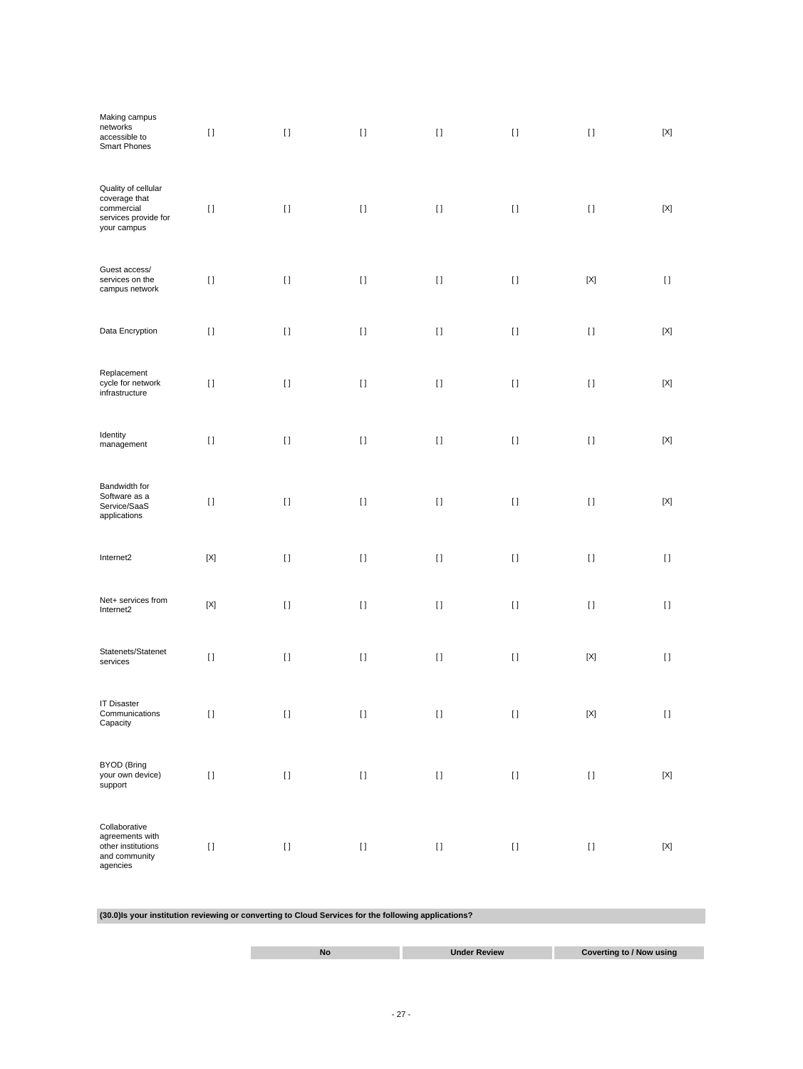| Making campus<br>networks<br>accessible to<br>Smart Phones                                | $[ \ ]$                                | $[ \; ]$ | $[ \; ]$ | $[ \; ]$     | $[ \; ]$ | $[ \; ]$                               | $[{\sf X}]$  |
|-------------------------------------------------------------------------------------------|----------------------------------------|----------|----------|--------------|----------|----------------------------------------|--------------|
| Quality of cellular<br>coverage that<br>commercial<br>services provide for<br>your campus | $[ \; ]$                               | $[ \; ]$ | $[ \ ]$  | $[ \ ]$      | $[ \ ]$  | $[ \ ]$                                | [X]          |
| Guest access/<br>services on the<br>campus network                                        | $[ \ ]$                                | $[ \ ]$  | $[ \; ]$ | $[ \; ]$     | $[ \ ]$  | $[{\sf X}]$                            | $[ \ ]$      |
| Data Encryption                                                                           | $[ \; ]$                               | $[ \ ]$  | $[ \ ]$  | $[ \ ]$      | $[ \ ]$  | $[ \ ]$                                | $[{\sf X}]$  |
| Replacement<br>cycle for network<br>infrastructure                                        | $[ \; ]$                               | $[ \; ]$ | $[ \; ]$ | $[ \ ]$      | $[ \ ]$  | $[ \; ]$                               | [X]          |
| Identity<br>management                                                                    | $[ \ ]$                                | $[ \; ]$ | $[ \; ]$ | $[ \; ]$     | $[ \; ]$ | $[ \; ]$                               | $[{\sf X}]$  |
| Bandwidth for<br>Software as a<br>Service/SaaS<br>applications                            | $[ \ ]$                                | $[ \ ]$  | $[ \ ]$  | $[ \ ]$      | $[ \ ]$  | $[ \; ]$                               | $[{\sf X}]$  |
| Internet2                                                                                 | $[{\sf X}]$                            | $[ \ ]$  | $[ \; ]$ | $[ \ ]$      | $[ \ ]$  | $[ \ ]$                                | $[ \ ]$      |
| Net+ services from<br>Internet2                                                           | $[{\sf X}]$                            | $[ \ ]$  | $[ \ ]$  | H            | $[ \ ]$  | $[ \ ]$                                | $\mathbf{I}$ |
| Statenets/Statenet<br>services                                                            | $[ \ ]$                                | $[ \ ]$  | $[ \; ]$ | $[ \, ]$     | $[ \; ]$ | $[{\sf X}]$                            | $[ \ ]$      |
| <b>IT Disaster</b><br>Communications<br>Capacity                                          | $[ \ ]$                                | $[ \ ]$  | $[ \ ]$  | H.           | $[ \ ]$  | $[{\sf X}]$                            | H.           |
| <b>BYOD</b> (Bring<br>your own device)<br>support                                         | $\begin{array}{c} \square \end{array}$ | $[ \; ]$ | $[ \; ]$ | $\mathbf{I}$ | $[ \; ]$ | $[ \ ]$                                | $[{\sf X}]$  |
| Collaborative<br>agreements with<br>other institutions<br>and community<br>agencies       | $[ \ ]$                                | $[ \ ]$  | $[ \ ]$  | $[ \, ]$     | $[ \ ]$  | $\begin{array}{c} \square \end{array}$ | $[{\sf X}]$  |

**(30.0)Is your institution reviewing or converting to Cloud Services for the following applications?**

| No | Under Review | Coverting to / Now using |
|----|--------------|--------------------------|
|    |              |                          |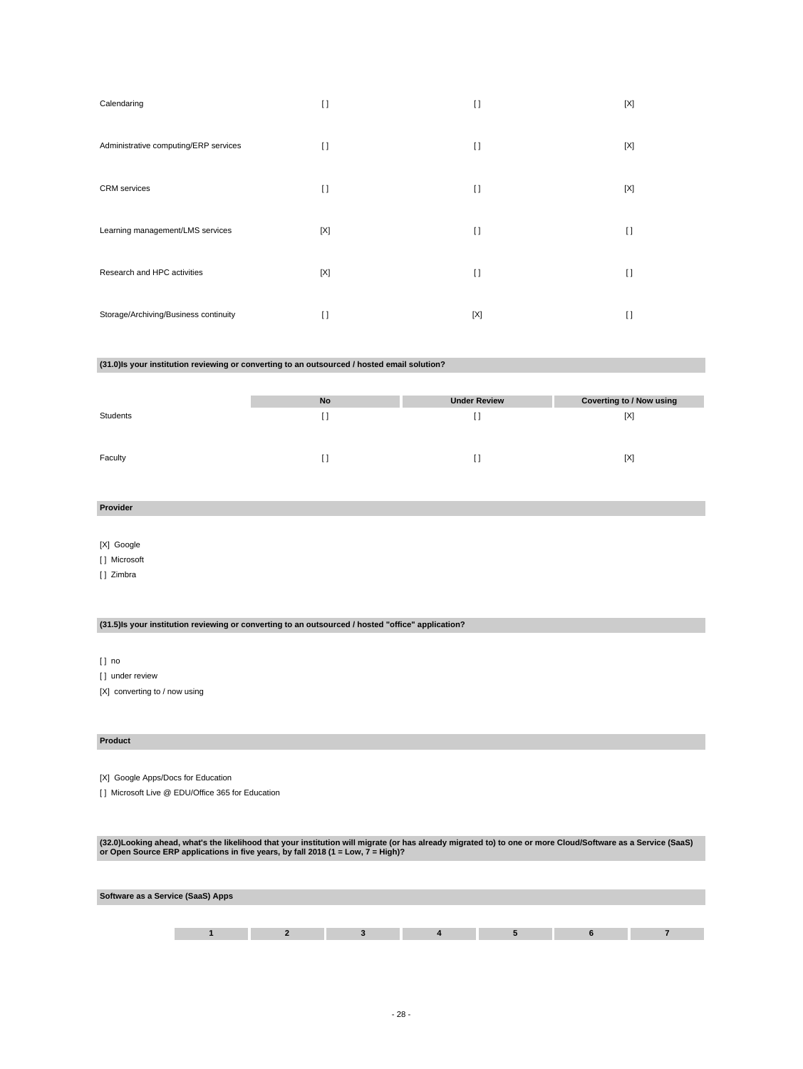| Calendaring                           | $\lceil$ | $[ \ ]$  | [X]    |
|---------------------------------------|----------|----------|--------|
| Administrative computing/ERP services | $\lceil$ | $[ \ ]$  | [X]    |
| <b>CRM</b> services                   | $\lceil$ | $\lceil$ | [X]    |
| Learning management/LMS services      | [X]      | $\lceil$ | $\Box$ |
| Research and HPC activities           | [X]      | $\lceil$ | I)     |
| Storage/Archiving/Business continuity | $\Box$   | [X]      | I)     |

### **(31.0)Is your institution reviewing or converting to an outsourced / hosted email solution?**

|          | No | <b>Under Review</b> | <b>Coverting to / Now using</b> |
|----------|----|---------------------|---------------------------------|
| Students | IJ |                     | [X]                             |
|          |    |                     |                                 |
| Faculty  | IJ |                     | [X]                             |

### **Provider**

[X] Google

[ ] Microsoft

[ ] Zimbra

### **(31.5)Is your institution reviewing or converting to an outsourced / hosted "office" application?**

[ ] no

[] under review

[X] converting to / now using

#### **Product**

[X] Google Apps/Docs for Education

[] Microsoft Live @ EDU/Office 365 for Education

(32.0)Looking ahead, what's the likelihood that your institution will migrate (or has already migrated to) to one or more Cloud/Software as a Service (SaaS)<br>or Open Source ERP applications in five years, by fall 2018 (1 =

| Software as a Service (SaaS) Apps |  |  |  |  |  |  |
|-----------------------------------|--|--|--|--|--|--|
|                                   |  |  |  |  |  |  |
|                                   |  |  |  |  |  |  |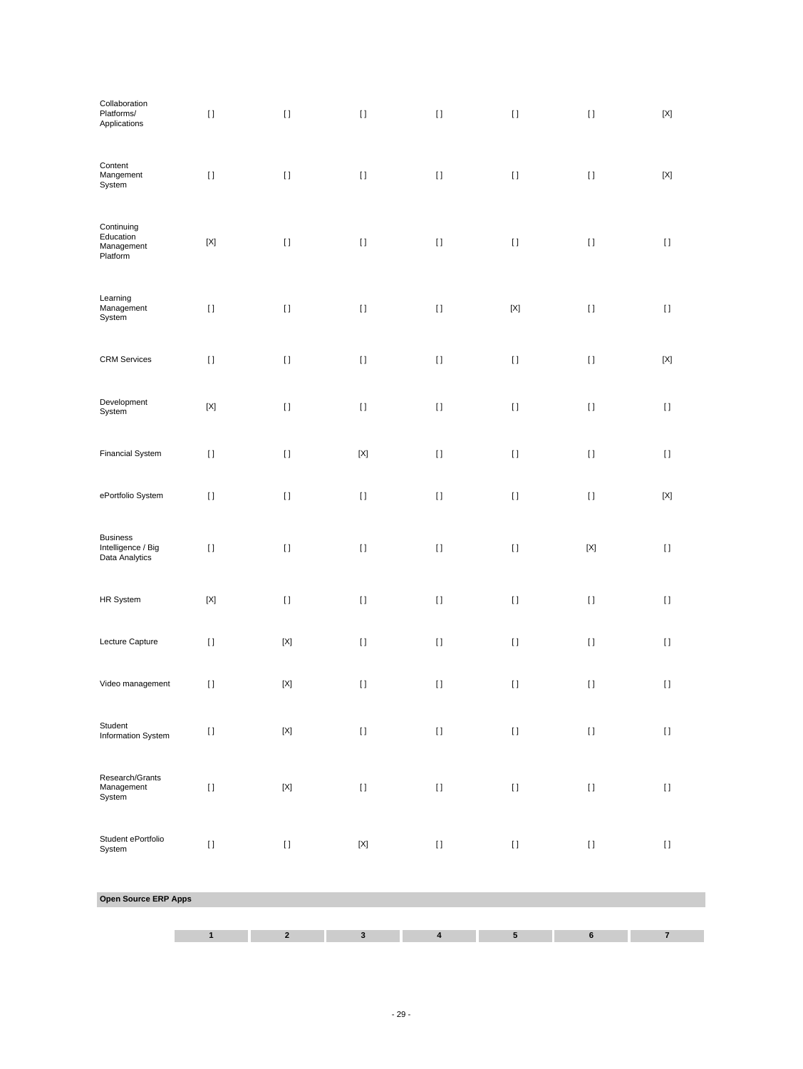| Collaboration<br>Platforms/<br>Applications             | $[ \, ]$     | $[ \: ]$    | $[ \; ]$    | $[ \; ]$                                                                                                                                                                                                                                           | $[ \: ]$                                                                                                                                                                                              | $[ \ ]$     | $[{\sf X}]$  |
|---------------------------------------------------------|--------------|-------------|-------------|----------------------------------------------------------------------------------------------------------------------------------------------------------------------------------------------------------------------------------------------------|-------------------------------------------------------------------------------------------------------------------------------------------------------------------------------------------------------|-------------|--------------|
| Content<br>Mangement<br>System                          | $[ \, ]$     | $[ \ ]$     | $[ \; ]$    | $[ \: ]$                                                                                                                                                                                                                                           | $[ \ ]$                                                                                                                                                                                               | $[ \ ]$     | $[{\sf X}]$  |
| Continuing<br>Education<br>Management<br>Platform       | $[{\sf X}]$  | $[ \: ]$    | $[ \; ]$    | $[ \, ]$                                                                                                                                                                                                                                           | $[ \: ]$                                                                                                                                                                                              | $[ \; ]$    | $[ \ ]$      |
| Learning<br>Management<br>System                        | $[ \, ]$     | $[ \; ]$    | $[ \; ]$    | $[ \; ]$                                                                                                                                                                                                                                           | $[{\sf X}]$                                                                                                                                                                                           | $[ \; ]$    | $[ \; ]$     |
| <b>CRM</b> Services                                     | $[ \, ]$     | $[ \: ]$    | $[ \; ]$    | $[] \centering \includegraphics[width=0.47\textwidth]{images/TrDiS-Architecture.png} \caption{The 3D (top) and 4D (bottom) are used for the 3D (bottom) and 3D (bottom) are used for the 3D (bottom) and 3D (bottom).} \label{TrDiS-Architecture}$ | $[ \: ]$                                                                                                                                                                                              | $[ \; ]$    | $[{\sf X}]$  |
| Development<br>System                                   | $[{\sf X}]$  | $[ \ ]$     | $[ \ ]$     | $[ \ ]$                                                                                                                                                                                                                                            | $[] \centering \includegraphics[width=0.47\textwidth]{images/TrDiS-Architecture.png} \caption{The 3D (top) and 4D (bottom) are used for the 3D (bottom) and 3D (bottom).} \label{TrDiS-Architecture}$ | $[ \ ]$     | $[ \ ]$      |
| <b>Financial System</b>                                 | $[ \, ]$     | $[ \; ]$    | $[{\sf X}]$ | $[ \; ]$                                                                                                                                                                                                                                           | $[ \ ]$                                                                                                                                                                                               | $[ \ ]$     | $\mathbf{I}$ |
| ePortfolio System                                       | $[ \ ]$      | $[ \ ]$     | $[ \ ]$     | $[ \, ]$                                                                                                                                                                                                                                           | $[ \; ]$                                                                                                                                                                                              | $[ \ ]$     | $[{\sf X}]$  |
| <b>Business</b><br>Intelligence / Big<br>Data Analytics | $[ \ ]$      | $[ \ ]$     | $[ \; ]$    | $[] \centering \includegraphics[width=0.47\textwidth]{images/TrDiS-Architecture.png} \caption{The 3D (top) and 4D (bottom) are used for the 3D (bottom) and 3D (bottom).} \label{TrDiS-Architecture}$                                              | $[ \ ]$                                                                                                                                                                                               | $[{\sf X}]$ | $[ \ ]$      |
| HR System                                               | $[{\sf X}]$  | $[ \; ]$    | $[ \; ]$    | $[ \; ]$                                                                                                                                                                                                                                           | $[ \; ]$                                                                                                                                                                                              | $[ \; ]$    | $\mathbf{I}$ |
| Lecture Capture                                         | $[ \; ]$     | $[{\sf X}]$ | $[ \ ]$     | $[ \, ]$                                                                                                                                                                                                                                           | $[ \; ]$                                                                                                                                                                                              | $[ \ ]$     | $[ \ ]$      |
| Video management                                        | $[ \, ]$     | $[{\sf X}]$ | $[ \; ]$    | $[ \, ]$                                                                                                                                                                                                                                           | $[ \; ]$                                                                                                                                                                                              | $[ \ ]$     | $[ \; ]$     |
| Student<br>Information System                           | $[ \, ]$     | $[{\sf X}]$ | $[ \; ]$    | $[ \; ]$                                                                                                                                                                                                                                           | $[ \; ]$                                                                                                                                                                                              | $[ \; ]$    | $[ \ ]$      |
| Research/Grants<br>Management<br>System                 | $[ \, ]$     | $[{\sf X}]$ | $[ \; ]$    | $[ \; ]$                                                                                                                                                                                                                                           | $[] \centering \includegraphics[width=0.47\textwidth]{images/TrDiS-Architecture.png} \caption{The 3D (top) and 4D (bottom) are used for the 3D (bottom) and 3D (bottom).} \label{TrDiS-Architecture}$ | $[ \; ]$    | $[ \ ]$      |
| Student ePortfolio<br>System                            | $[ \, ]$     | $[ \ ]$     | $[{\sf X}]$ | $[] \centering \includegraphics[width=0.47\textwidth]{images/TrDiS-Architecture.png} \caption{The 3D (top) and 4D (bottom) are used for the 3D (bottom) and 3D (bottom).} \label{TrDiS-Architecture}$                                              | $[ \; ]$                                                                                                                                                                                              | $[ \; ]$    | $[ \ ]$      |
| Open Source ERP Apps                                    |              |             |             |                                                                                                                                                                                                                                                    |                                                                                                                                                                                                       |             |              |
|                                                         | $\mathbf{1}$ | $\mathbf 2$ | 3           | $\pmb{4}$                                                                                                                                                                                                                                          | ${\bf 5}$                                                                                                                                                                                             | $\bf 6$     | $\bf 7$      |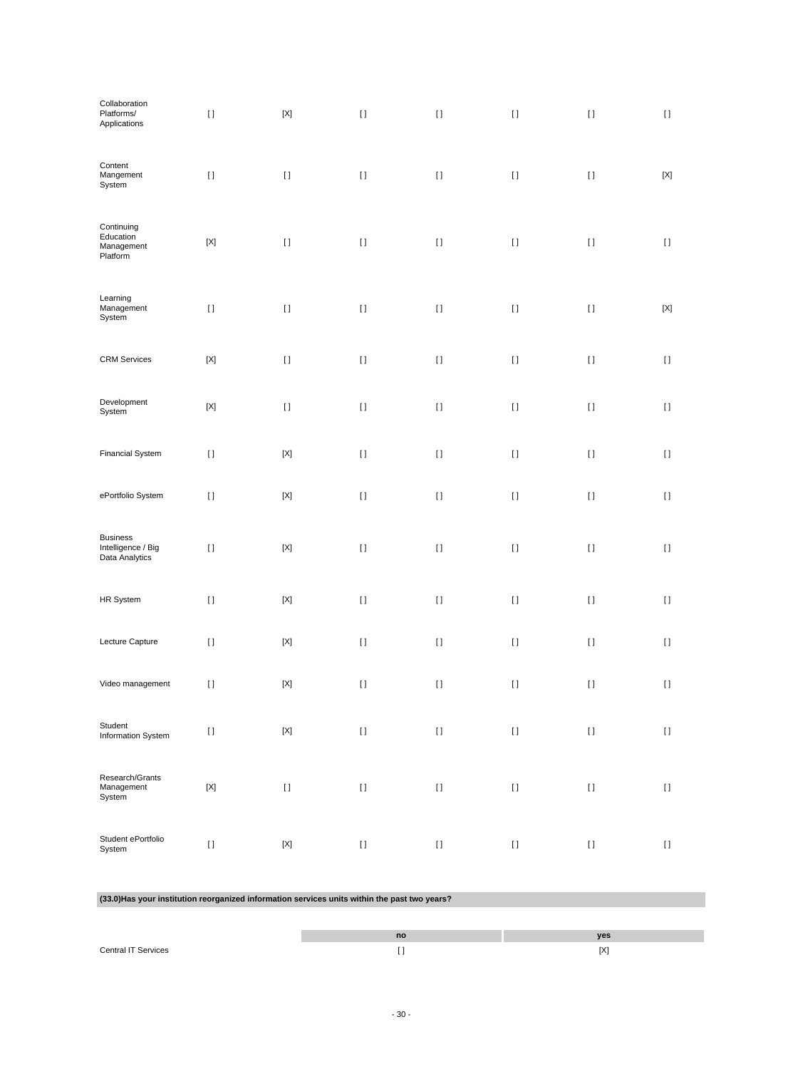| Collaboration<br>Platforms/<br>Applications                                                   | $[ \ ]$                   | $[{\sf X}]$ | $[ \ ]$                                                                                                                                                                                               | $[ \ ]$  | $[] \centering \includegraphics[width=0.47\textwidth]{images/TrDiS-Architecture.png} \caption{The 3D (top) and 4D (bottom) are used for the 3D (bottom) and 3D (bottom) are used for the 3D (bottom) and 3D (bottom).} \label{TrDiS-Architecture}$ | $[ \; ]$ | $[ \ ]$      |
|-----------------------------------------------------------------------------------------------|---------------------------|-------------|-------------------------------------------------------------------------------------------------------------------------------------------------------------------------------------------------------|----------|----------------------------------------------------------------------------------------------------------------------------------------------------------------------------------------------------------------------------------------------------|----------|--------------|
| Content<br>Mangement<br>System                                                                | $[ \; ]$                  | $[ \; ]$    | $[ \ ]$                                                                                                                                                                                               | $[ \, ]$ | $[ \; ]$                                                                                                                                                                                                                                           | $[ \ ]$  | $[{\sf X}]$  |
| Continuing<br>Education<br>Management<br>Platform                                             | $[{\sf X}]$               | $[ \; ]$    | $[] \centering \includegraphics[width=0.47\textwidth]{images/TrDiS-Architecture.png} \caption{The 3D (top) and 4D (bottom) are used for the 3D (bottom) and 3D (bottom).} \label{TrDiS-Architecture}$ | $[ \; ]$ | $[] \centering \includegraphics[width=0.47\textwidth]{images/TrDiS-Architecture.png} \caption{The 3D (top) and 4D (bottom) are used for the 3D (bottom) and 3D (bottom) are used for the 3D (bottom) and 3D (bottom).} \label{TrDiS-Architecture}$ | $[ \; ]$ | $[ \ ]$      |
| Learning<br>Management<br>System                                                              | $[ \; ]$                  | $[ \; ]$    | $[] \centering \includegraphics[width=0.47\textwidth]{images/TrDiS-Architecture.png} \caption{The 3D (top) and 4D (bottom) are used for the 3D (bottom) and 3D (bottom).} \label{TrDiS-Architecture}$ | $[ \; ]$ | $[] \centering \includegraphics[width=0.47\textwidth]{images/TrDiS-Architecture.png} \caption{The 3D (top) and 4D (bottom) are used for the 3D (bottom) and 3D (bottom) are used for the 3D (bottom) and 3D (bottom).} \label{TrDiS-Architecture}$ | $[ \; ]$ | $[{\sf X}]$  |
| <b>CRM Services</b>                                                                           | $[{\sf X}]$               | $[ \ ]$     | $[ \ ]$                                                                                                                                                                                               | $[ \, ]$ | $[ \: ]$                                                                                                                                                                                                                                           | $[ \ ]$  | $\mathbf{I}$ |
| Development<br>System                                                                         | $\left[ \text{X} \right]$ | $[ \ ]$     | $[ \ ]$                                                                                                                                                                                               | $[ \, ]$ | $[ \; ]$                                                                                                                                                                                                                                           | $[ \; ]$ | $[ \ ]$      |
| <b>Financial System</b>                                                                       | $[ \ ]$                   | $[{\sf X}]$ | $[ \ ]$                                                                                                                                                                                               | $[ \; ]$ | $[ \; ]$                                                                                                                                                                                                                                           | $[ \ ]$  | $\mathbf{I}$ |
| ePortfolio System                                                                             | $[ \; ]$                  | $[{\sf X}]$ | $[ \ ]$                                                                                                                                                                                               | $[ \; ]$ | $[ \; ]$                                                                                                                                                                                                                                           | $[ \ ]$  | $[ \ ]$      |
| <b>Business</b><br>Intelligence / Big<br>Data Analytics                                       | $[ \, ]$                  | $[{\sf X}]$ | $[ \ ]$                                                                                                                                                                                               | $[ \; ]$ | $[ \, ]$                                                                                                                                                                                                                                           | $[ \ ]$  | $[ \; ]$     |
| HR System                                                                                     | $[ \ ]$                   | $[{\sf X}]$ | $[ \ ]$                                                                                                                                                                                               | $[ \; ]$ | $[ \; ]$                                                                                                                                                                                                                                           | $[ \; ]$ | $\mathbf{I}$ |
| Lecture Capture                                                                               | $[ \; ]$                  | $[{\sf X}]$ | $[ \ ]$                                                                                                                                                                                               | $[ \; ]$ | $[ \; ]$                                                                                                                                                                                                                                           | $[ \ ]$  | $[ \ ]$      |
| Video management                                                                              | $[ \; ]$                  | $[{\sf X}]$ | $[ \ ]$                                                                                                                                                                                               | $[ \: ]$ | $[ \; ]$                                                                                                                                                                                                                                           | $[ \ ]$  | $[ \; ]$     |
| Student<br>Information System                                                                 | $[ \; ]$                  | $[{\sf X}]$ | $[ \ ]$                                                                                                                                                                                               | $[ \ ]$  | $[ \; ]$                                                                                                                                                                                                                                           | $[ \; ]$ | $[ \; ]$     |
| Research/Grants<br>Management<br>System                                                       | $[{\sf X}]$               | $[ \; ]$    | $[ \ ]$                                                                                                                                                                                               | $[ \; ]$ | $[ \; ]$                                                                                                                                                                                                                                           | $[ \ ]$  | $[ \ ]$      |
| Student ePortfolio<br>System                                                                  | $[ \; ]$                  | $[{\sf X}]$ | $[ \ ]$                                                                                                                                                                                               | $[ \ ]$  | $[ \; ]$                                                                                                                                                                                                                                           | $[ \ ]$  | $[ \; ]$     |
| (33.0) Has your institution reorganized information services units within the past two years? |                           |             |                                                                                                                                                                                                       |          |                                                                                                                                                                                                                                                    |          |              |
|                                                                                               |                           |             |                                                                                                                                                                                                       | no       |                                                                                                                                                                                                                                                    | yes      |              |

|                            | no | ves                     |
|----------------------------|----|-------------------------|
| <b>Central IT Services</b> |    | $\alpha$<br>$ \Lambda $ |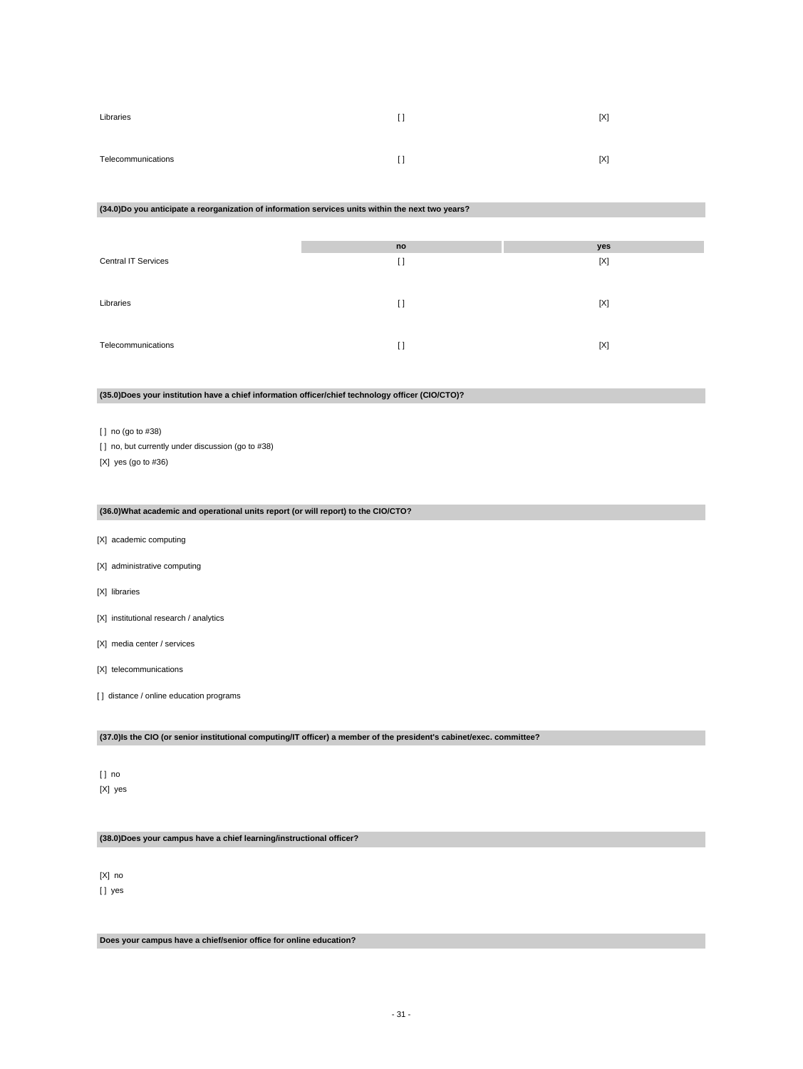| Libraries          | I)                  | [X] |
|--------------------|---------------------|-----|
| Telecommunications | $\mathsf{L}$<br>. . | [X] |

#### **(34.0)Do you anticipate a reorganization of information services units within the next two years?**

|                            | no       | yes |
|----------------------------|----------|-----|
| <b>Central IT Services</b> | $\lceil$ | [X] |
|                            |          |     |
| Libraries                  | $\Box$   | [X] |
|                            |          |     |
| Telecommunications         | $\Box$   | [X] |
|                            |          |     |

### **(35.0)Does your institution have a chief information officer/chief technology officer (CIO/CTO)?**

[ ] no (go to #38)

[] no, but currently under discussion (go to #38)

[X] yes (go to #36)

### **(36.0)What academic and operational units report (or will report) to the CIO/CTO?**

- [X] academic computing
- [X] administrative computing
- [X] libraries
- [X] institutional research / analytics
- [X] media center / services
- [X] telecommunications
- [] distance / online education programs

**(37.0)Is the CIO (or senior institutional computing/IT officer) a member of the president's cabinet/exec. committee?**

### [ ] no [X] yes

**(38.0)Does your campus have a chief learning/instructional officer?**

### [X] no [] yes

**Does your campus have a chief/senior office for online education?**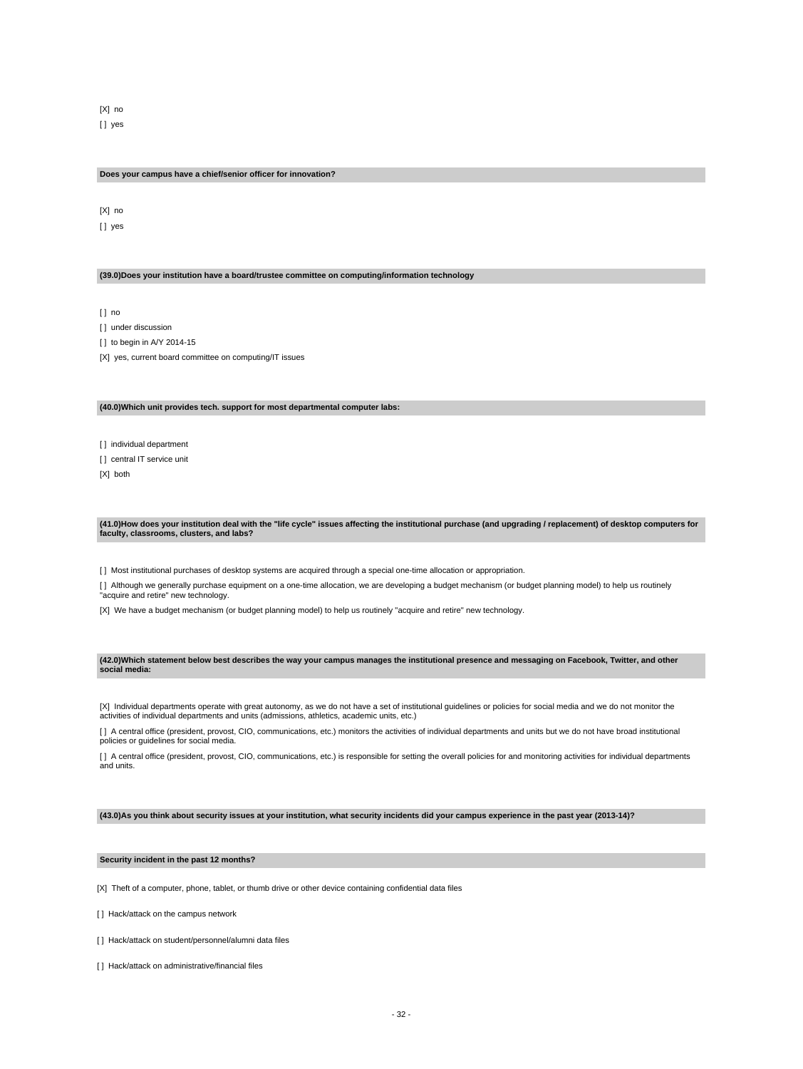[X] no [] yes

#### **Does your campus have a chief/senior officer for innovation?**

[X] no [] yes

**(39.0)Does your institution have a board/trustee committee on computing/information technology**

[ ] no

[] under discussion

[] to begin in A/Y 2014-15

[X] yes, current board committee on computing/IT issues

#### **(40.0)Which unit provides tech. support for most departmental computer labs:**

[ ] individual department

[ ] central IT service unit

[X] both

#### **(41.0)How does your institution deal with the "life cycle" issues affecting the institutional purchase (and upgrading / replacement) of desktop computers for faculty, classrooms, clusters, and labs?**

[ ] Most institutional purchases of desktop systems are acquired through a special one-time allocation or appropriation.

[ ] Although we generally purchase equipment on a one-time allocation, we are developing a budget mechanism (or budget planning model) to help us routinely "acquire and retire" new technology.

[X] We have a budget mechanism (or budget planning model) to help us routinely "acquire and retire" new technology.

#### **(42.0)Which statement below best describes the way your campus manages the institutional presence and messaging on Facebook, Twitter, and other social media:**

[X] Individual departments operate with great autonomy, as we do not have a set of institutional guidelines or policies for social media and we do not monitor the<br>activities of individual departments and units (admissions

[ ] A central office (president, provost, CIO, communications, etc.) monitors the activities of individual departments and units but we do not have broad institutional policies or guidelines for social media.

[] A central office (president, provost, CIO, communications, etc.) is responsible for setting the overall policies for and monitoring activities for individual departments and units.

**(43.0)As you think about security issues at your institution, what security incidents did your campus experience in the past year (2013-14)?**

#### **Security incident in the past 12 months?**

[X] Theft of a computer, phone, tablet, or thumb drive or other device containing confidential data files

- [ ] Hack/attack on the campus network
- [] Hack/attack on student/personnel/alumni data files
- [] Hack/attack on administrative/financial files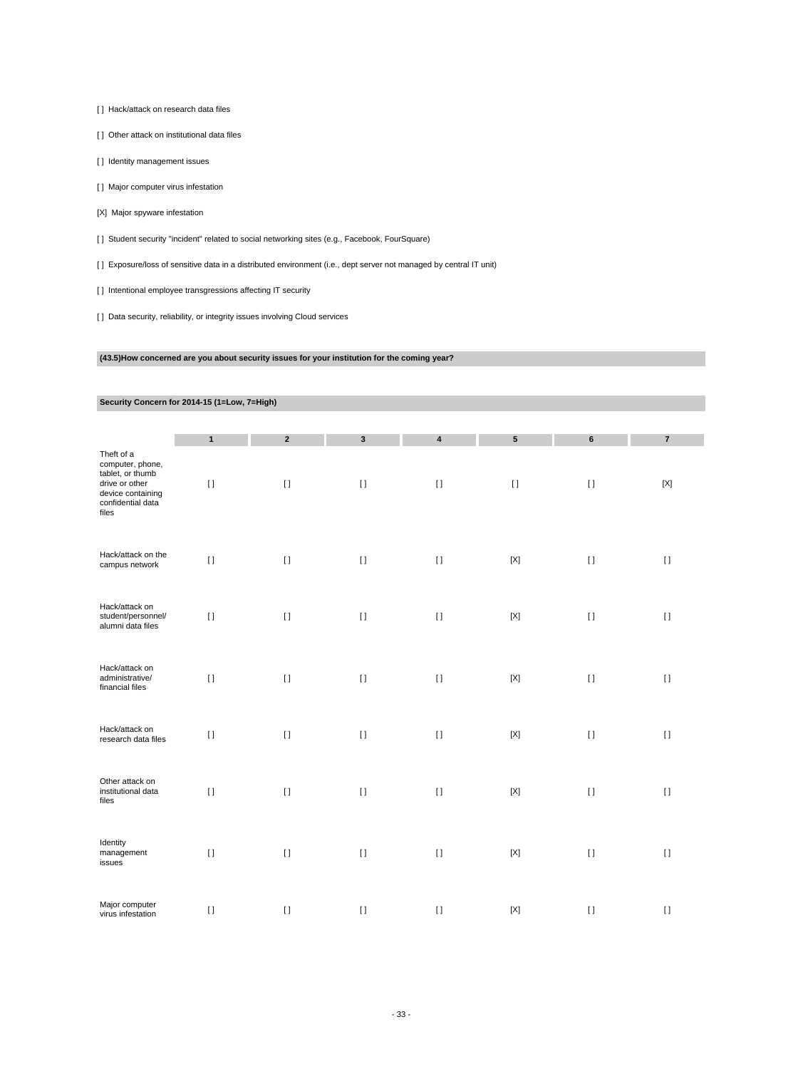[ ] Hack/attack on research data files

[ ] Other attack on institutional data files

[] Identity management issues

[ ] Major computer virus infestation

[X] Major spyware infestation

[ ] Student security "incident" related to social networking sites (e.g., Facebook, FourSquare)

[ ] Exposure/loss of sensitive data in a distributed environment (i.e., dept server not managed by central IT unit)

[] Intentional employee transgressions affecting IT security

[ ] Data security, reliability, or integrity issues involving Cloud services

### **(43.5)How concerned are you about security issues for your institution for the coming year?**

# **Security Concern for 2014-15 (1=Low, 7=High)**

|                                                                                                                         | $\mathbf{1}$ | $\overline{2}$ | $\mathbf{3}$ | $\overline{\mathbf{4}}$   | $5\phantom{.0}$            | 6        | $\overline{7}$ |
|-------------------------------------------------------------------------------------------------------------------------|--------------|----------------|--------------|---------------------------|----------------------------|----------|----------------|
| Theft of a<br>computer, phone,<br>tablet, or thumb<br>drive or other<br>device containing<br>confidential data<br>files | $[ \; ]$     | $\lceil$       | $[ \; ]$     | $\mathop{\rm I}\nolimits$ | $[ \; ]$                   | $[ \; ]$ | $[{\sf X}]$    |
| Hack/attack on the<br>campus network                                                                                    | $\mathbf{I}$ | $[ \ ]$        | $[ \ ]$      | $[ \ ]$                   | $[{\sf X}]$                | $\lceil$ | $[ \ ]$        |
| Hack/attack on<br>student/personnel/<br>alumni data files                                                               | $[ \ ]$      | $\lceil$       | $[ \ ]$      | $[ \; ]$                  | $[{\sf X}]$                | $\lceil$ | $[ \ ]$        |
| Hack/attack on<br>administrative/<br>financial files                                                                    | $[ \ ]$      | $\lceil$       | $[ \ ]$      | $[ \ ]$                   | $[{\sf X}]$                | $\lceil$ | $[ \ ]$        |
| Hack/attack on<br>research data files                                                                                   | $[ \; ]$     | $\lceil$       | $[ \ ]$      | $[ \ ]$                   | $[{\sf X}]$                | $\lceil$ | $[ \ ]$        |
| Other attack on<br>institutional data<br>files                                                                          | $[ \; ]$     | $\lceil$       | $[ \ ]$      | $[ \; ]$                  | $\left[ \mathrm{X}\right]$ | $[ \ ]$  | $[ \ ]$        |
| Identity<br>management<br>issues                                                                                        | $[ \; ]$     | $[ \ ]$        | $[ \; ]$     | $[ \ ]$                   | $[{\sf X}]$                | $[ \ ]$  | $[ \; ]$       |
| Major computer<br>virus infestation                                                                                     | $[ \; ]$     | $\lceil$       | $[ \; ]$     | $[ \; ]$                  | $\left[ \text{X} \right]$  | $[ \ ]$  | $[ \; ]$       |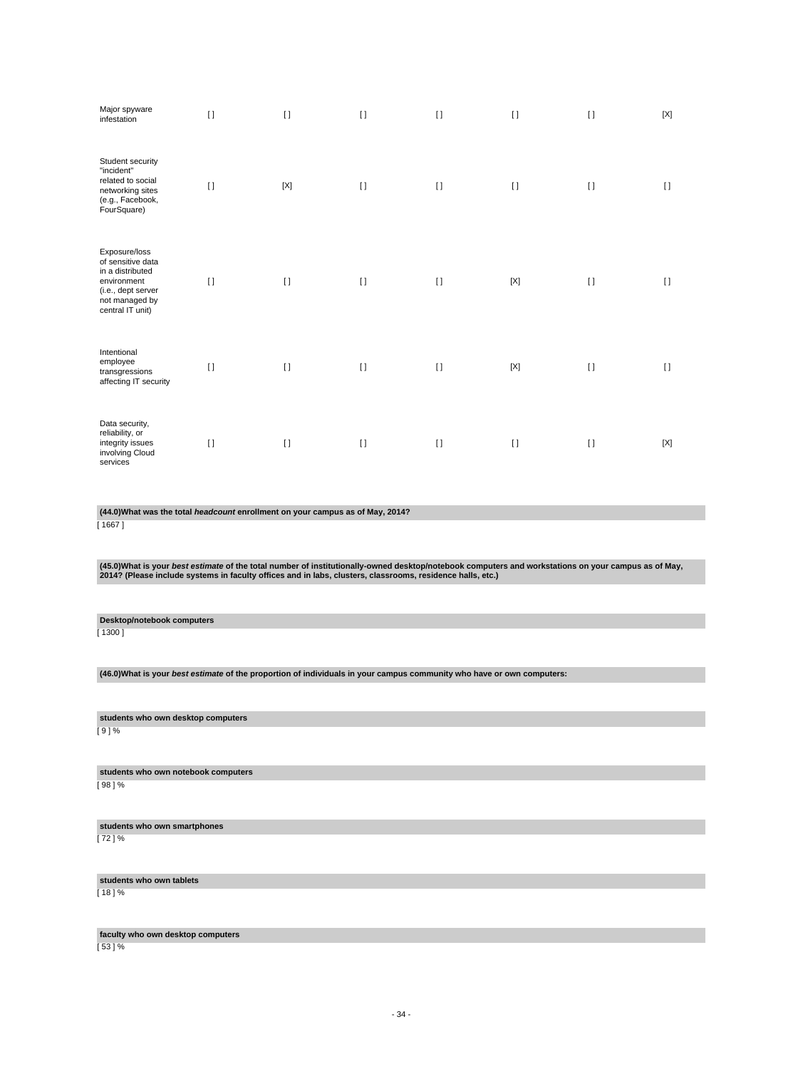| Major spyware<br>infestation                                                                                                      | $\Box$   | $\Box$      | $\Box$   | $\Box$       | $\Box$  | $\Box$   | [X]         |
|-----------------------------------------------------------------------------------------------------------------------------------|----------|-------------|----------|--------------|---------|----------|-------------|
| Student security<br>"incident"<br>related to social<br>networking sites<br>(e.g., Facebook,<br>FourSquare)                        | $\lceil$ | $[{\sf X}]$ | $\lceil$ | $[ \ ]$      | $\Box$  | $\lceil$ | $\Box$      |
| Exposure/loss<br>of sensitive data<br>in a distributed<br>environment<br>(i.e., dept server<br>not managed by<br>central IT unit) | $\Box$   | $\lceil$    | $\lceil$ | $\lceil$     | [X]     | $[ \ ]$  | $\Box$      |
| Intentional<br>employee<br>transgressions<br>affecting IT security                                                                | $\lceil$ | $\lceil$    | $\lceil$ | $\mathbf{I}$ | [X]     | $\lceil$ | $[ \ ]$     |
| Data security,<br>reliability, or<br>integrity issues<br>involving Cloud<br>services                                              | $\lceil$ | $\lceil$    | $\lceil$ | $\lceil$     | $[ \ ]$ | $[ \ ]$  | $[{\sf X}]$ |

**(44.0)What was the total headcount enrollment on your campus as of May, 2014?**

[ 1667 ]

(45.0)What is your *best estimate* of the total number of institutionally-owned desktop/notebook computers and workstations on your campus as of May,<br>2014? (Please include systems in faculty offices and in labs, clusters,

**Desktop/notebook computers**

[ 1300 ]

**(46.0)What is your best estimate of the proportion of individuals in your campus community who have or own computers:**

**students who own desktop computers**

[ 9 ] %

**students who own notebook computers** [ 98 ] %

**students who own smartphones**

[ 72 ] %

**students who own tablets**

[ 18 ] %

**faculty who own desktop computers**

[ 53 ] %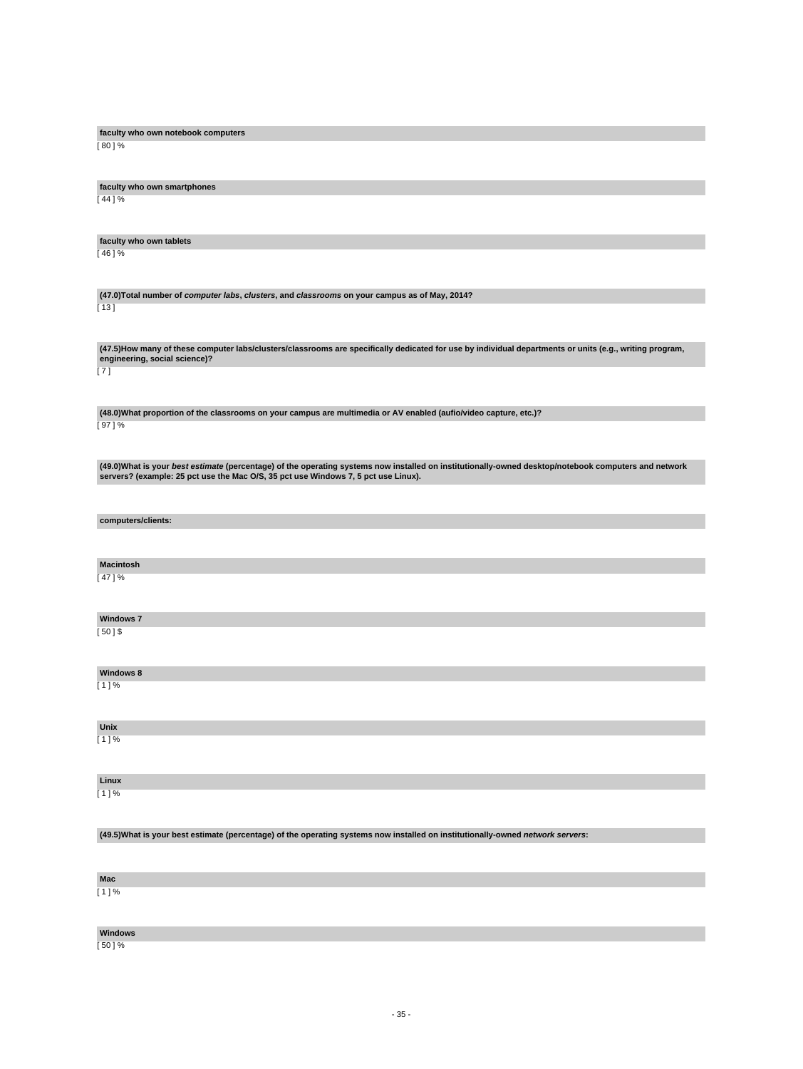| faculty who own notebook computers                                                                                                                      |
|---------------------------------------------------------------------------------------------------------------------------------------------------------|
| [ 80 ] %                                                                                                                                                |
|                                                                                                                                                         |
|                                                                                                                                                         |
|                                                                                                                                                         |
|                                                                                                                                                         |
| faculty who own smartphones                                                                                                                             |
| [ 44 ] %                                                                                                                                                |
|                                                                                                                                                         |
|                                                                                                                                                         |
|                                                                                                                                                         |
| faculty who own tablets                                                                                                                                 |
| [46]%                                                                                                                                                   |
|                                                                                                                                                         |
|                                                                                                                                                         |
|                                                                                                                                                         |
|                                                                                                                                                         |
| (47.0) Total number of computer labs, clusters, and classrooms on your campus as of May, 2014?                                                          |
| [ 13 ]                                                                                                                                                  |
|                                                                                                                                                         |
|                                                                                                                                                         |
|                                                                                                                                                         |
| (47.5)How many of these computer labs/clusters/classrooms are specifically dedicated for use by individual departments or units (e.g., writing program, |
| engineering, social science)?                                                                                                                           |
| [7]                                                                                                                                                     |
|                                                                                                                                                         |
|                                                                                                                                                         |
|                                                                                                                                                         |
|                                                                                                                                                         |
| (48.0) What proportion of the classrooms on your campus are multimedia or AV enabled (aufio/video capture, etc.)?                                       |
| [97]%                                                                                                                                                   |
|                                                                                                                                                         |
|                                                                                                                                                         |
|                                                                                                                                                         |
| (49.0) What is your best estimate (percentage) of the operating systems now installed on institutionally-owned desktop/notebook computers and network   |
| servers? (example: 25 pct use the Mac O/S, 35 pct use Windows 7, 5 pct use Linux).                                                                      |
|                                                                                                                                                         |
|                                                                                                                                                         |
|                                                                                                                                                         |
|                                                                                                                                                         |
| computers/clients:                                                                                                                                      |
|                                                                                                                                                         |
|                                                                                                                                                         |
|                                                                                                                                                         |
| <b>Macintosh</b>                                                                                                                                        |
|                                                                                                                                                         |
| [ 47 ] %                                                                                                                                                |
|                                                                                                                                                         |
|                                                                                                                                                         |
|                                                                                                                                                         |
| <b>Windows 7</b>                                                                                                                                        |
| [ 50 ] \$                                                                                                                                               |
|                                                                                                                                                         |
|                                                                                                                                                         |
|                                                                                                                                                         |
| <b>Windows 8</b>                                                                                                                                        |
|                                                                                                                                                         |
| [1]%                                                                                                                                                    |
|                                                                                                                                                         |
|                                                                                                                                                         |
|                                                                                                                                                         |
| Unix                                                                                                                                                    |
| $[1]$ %                                                                                                                                                 |
|                                                                                                                                                         |
|                                                                                                                                                         |
|                                                                                                                                                         |
| Linux                                                                                                                                                   |
|                                                                                                                                                         |
| [1]%                                                                                                                                                    |
|                                                                                                                                                         |
|                                                                                                                                                         |
|                                                                                                                                                         |
| (49.5) What is your best estimate (percentage) of the operating systems now installed on institutionally-owned network servers:                         |
|                                                                                                                                                         |
|                                                                                                                                                         |
|                                                                                                                                                         |
| Mac                                                                                                                                                     |
|                                                                                                                                                         |
| [1]%                                                                                                                                                    |
|                                                                                                                                                         |
|                                                                                                                                                         |
|                                                                                                                                                         |
|                                                                                                                                                         |
| <b>Windows</b>                                                                                                                                          |

[ 50 ] %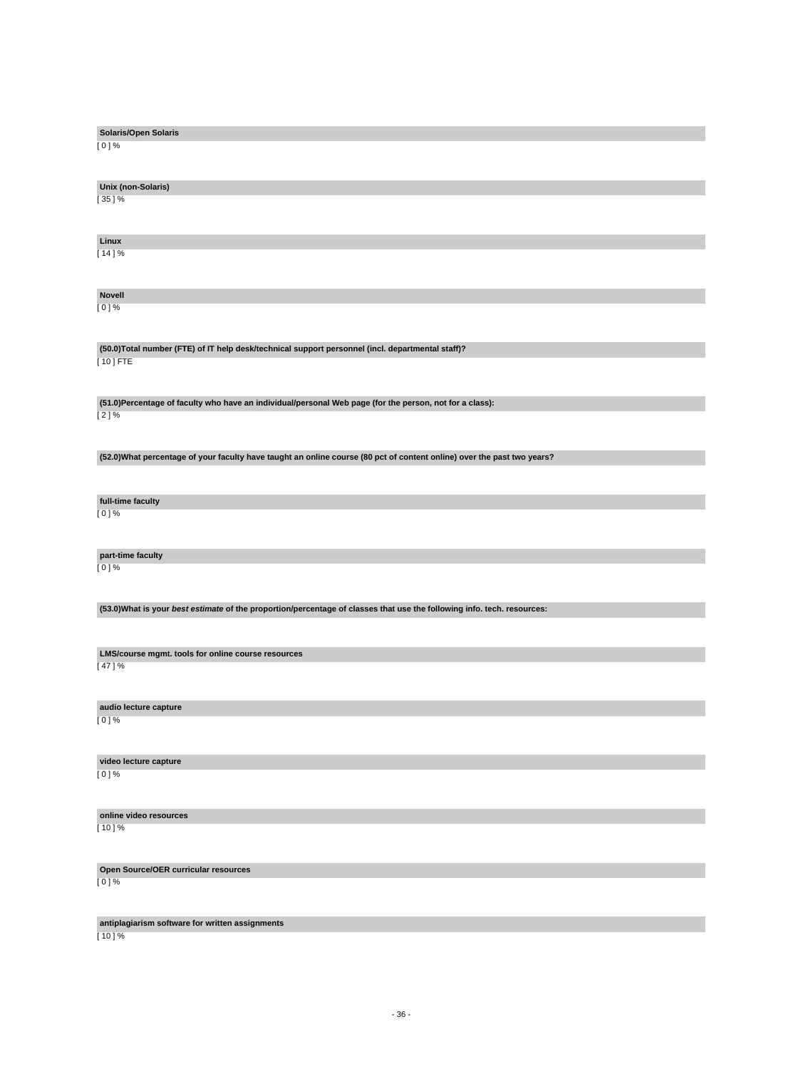| <b>Solaris/Open Solaris</b>                                                                                             |
|-------------------------------------------------------------------------------------------------------------------------|
| [ 0 ] %                                                                                                                 |
|                                                                                                                         |
| Unix (non-Solaris)                                                                                                      |
| [ 35 ] %                                                                                                                |
|                                                                                                                         |
| Linux                                                                                                                   |
| $[14]$ %                                                                                                                |
|                                                                                                                         |
| <b>Novell</b>                                                                                                           |
| [ 0 ] %                                                                                                                 |
|                                                                                                                         |
| (50.0) Total number (FTE) of IT help desk/technical support personnel (incl. departmental staff)?                       |
| [ 10 ] FTE                                                                                                              |
|                                                                                                                         |
| (51.0)Percentage of faculty who have an individual/personal Web page (for the person, not for a class):                 |
| [2]%                                                                                                                    |
|                                                                                                                         |
| (52.0) What percentage of your faculty have taught an online course (80 pct of content online) over the past two years? |
|                                                                                                                         |
| full-time faculty                                                                                                       |
| [ 0 ] %                                                                                                                 |
|                                                                                                                         |
| part-time faculty                                                                                                       |
| [ 0 ] %                                                                                                                 |
|                                                                                                                         |
| (53.0) What is your best estimate of the proportion/percentage of classes that use the following info. tech. resources: |
|                                                                                                                         |
| LMS/course mgmt. tools for online course resources                                                                      |
| [47]%                                                                                                                   |
|                                                                                                                         |
| audio lecture capture                                                                                                   |
| [ 0 ] %                                                                                                                 |
|                                                                                                                         |
| video lecture capture                                                                                                   |
| [0]%                                                                                                                    |
|                                                                                                                         |
| online video resources                                                                                                  |
| [10] %                                                                                                                  |
|                                                                                                                         |
| Open Source/OER curricular resources<br>[0]%                                                                            |
|                                                                                                                         |
|                                                                                                                         |

**antiplagiarism software for written assignments**

[ 10 ] %